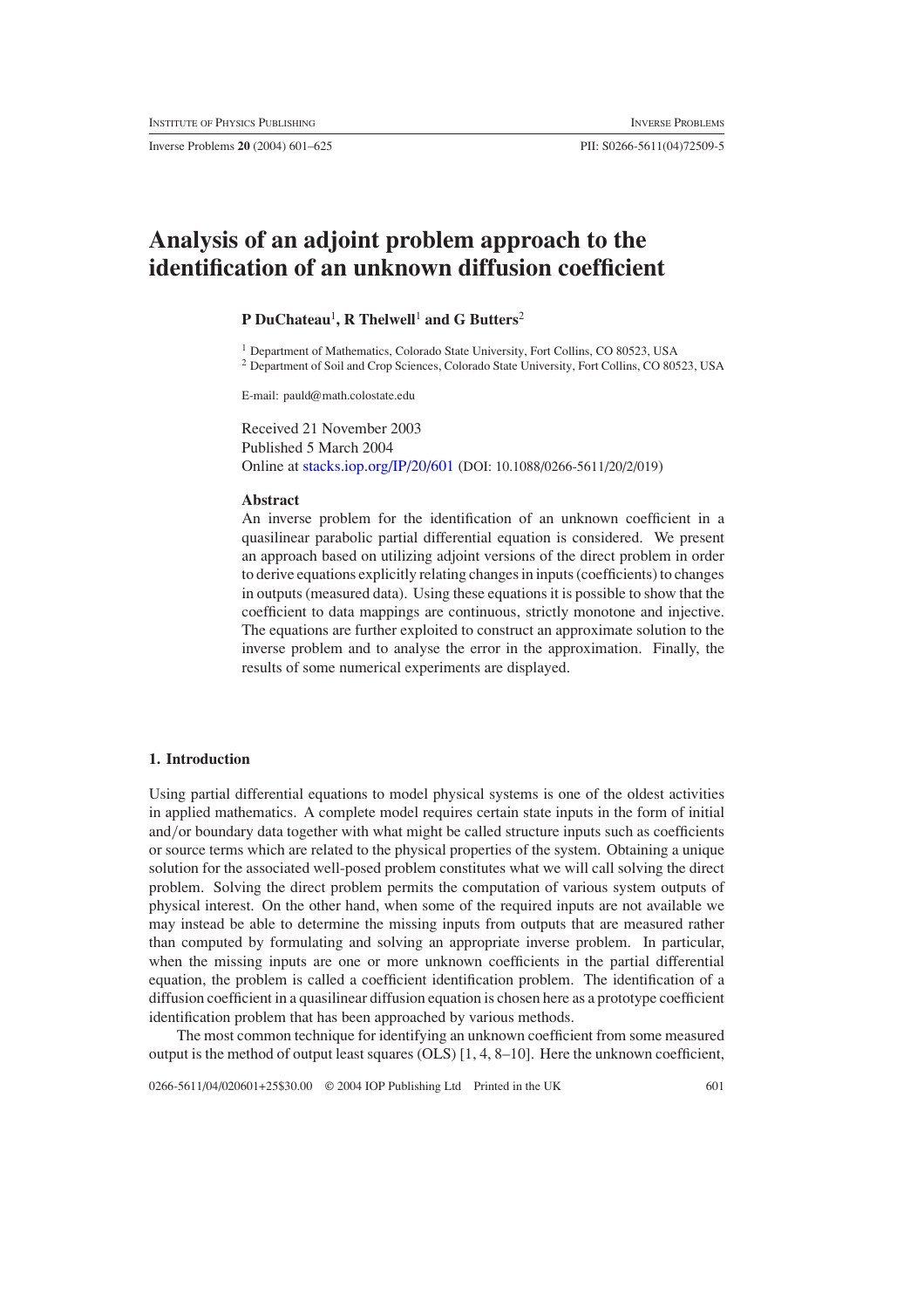Inverse Problems **20** (2004) 601–625 PII: S0266-5611(04)72509-5

# **Analysis of an adjoint problem approach to the identification of an unknown diffusion coefficient**

# **P DuChateau**<sup>1</sup> **, R Thelwell**<sup>1</sup> **and G Butters**<sup>2</sup>

<sup>1</sup> Department of Mathematics, Colorado State University, Fort Collins, CO 80523, USA

<sup>2</sup> Department of Soil and Crop Sciences, Colorado State University, Fort Collins, CO 80523, USA

E-mail: pauld@math.colostate.edu

Received 21 November 2003 Published 5 March 2004 Online at [stacks.iop.org/IP/20/601](http://stacks.iop.org/ip/20/601) (DOI: 10.1088/0266-5611/20/2/019)

## **Abstract**

An inverse problem for the identification of an unknown coefficient in a quasilinear parabolic partial differential equation is considered. We present an approach based on utilizing adjoint versions of the direct problem in order to derive equations explicitly relating changes in inputs (coefficients) to changes in outputs (measured data). Using these equations it is possible to show that the coefficient to data mappings are continuous, strictly monotone and injective. The equations are further exploited to construct an approximate solution to the inverse problem and to analyse the error in the approximation. Finally, the results of some numerical experiments are displayed.

## **1. Introduction**

Using partial differential equations to model physical systems is one of the oldest activities in applied mathematics. A complete model requires certain state inputs in the form of initial and*/*or boundary data together with what might be called structure inputs such as coefficients or source terms which are related to the physical properties of the system. Obtaining a unique solution for the associated well-posed problem constitutes what we will call solving the direct problem. Solving the direct problem permits the computation of various system outputs of physical interest. On the other hand, when some of the required inputs are not available we may instead be able to determine the missing inputs from outputs that are measured rather than computed by formulating and solving an appropriate inverse problem. In particular, when the missing inputs are one or more unknown coefficients in the partial differential equation, the problem is called a coefficient identification problem. The identification of a diffusion coefficient in a quasilinear diffusion equation is chosen here as a prototype coefficient identification problem that has been approached by various methods.

The most common technique for identifying an unknown coefficient from some measured output is the method of output least squares  $(OLS)$  [1, 4, 8–10]. Here the unknown coefficient,

0266-5611/04/020601+25\$30.00 © 2004 IOP Publishing Ltd Printed in the UK 601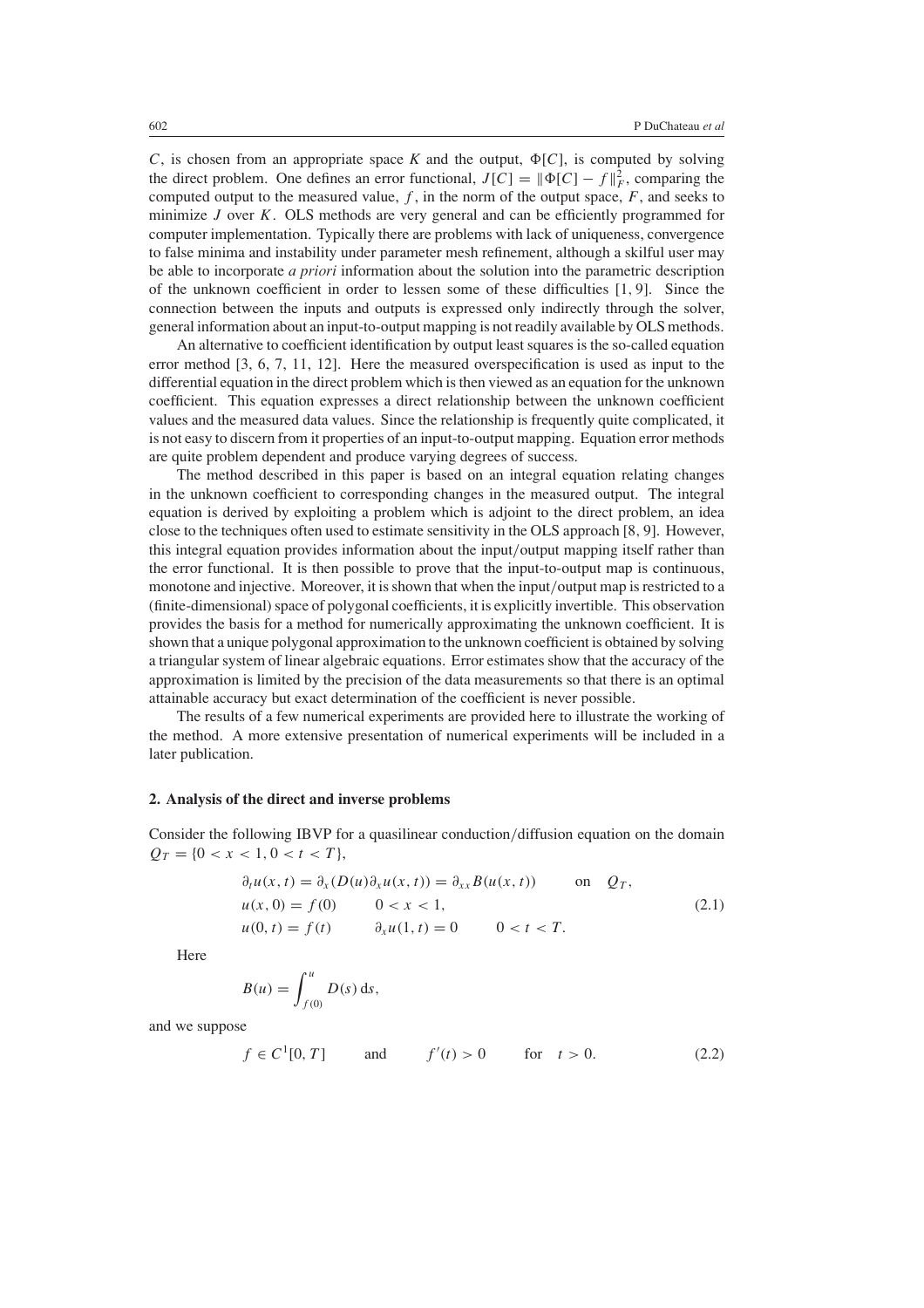*C*, is chosen from an appropriate space *K* and the output,  $\Phi[C]$ , is computed by solving the direct problem. One defines an error functional,  $J[C] = ||\Phi[C] - f||_F^2$ , comparing the computed output to the measured value,  $f$ , in the norm of the output space,  $F$ , and seeks to minimize *J* over *K*. OLS methods are very general and can be efficiently programmed for computer implementation. Typically there are problems with lack of uniqueness, convergence to false minima and instability under parameter mesh refinement, although a skilful user may be able to incorporate *a priori* information about the solution into the parametric description of the unknown coefficient in order to lessen some of these difficulties [1*,* 9]. Since the connection between the inputs and outputs is expressed only indirectly through the solver, general information about an input-to-output mapping is not readily available by OLS methods.

An alternative to coefficient identification by output least squares is the so-called equation error method [3, 6, 7, 11, 12]. Here the measured overspecification is used as input to the differential equation in the direct problem which is then viewed as an equation for the unknown coefficient. This equation expresses a direct relationship between the unknown coefficient values and the measured data values. Since the relationship is frequently quite complicated, it is not easy to discern from it properties of an input-to-output mapping. Equation error methods are quite problem dependent and produce varying degrees of success.

The method described in this paper is based on an integral equation relating changes in the unknown coefficient to corresponding changes in the measured output. The integral equation is derived by exploiting a problem which is adjoint to the direct problem, an idea close to the techniques often used to estimate sensitivity in the OLS approach [8*,* 9]. However, this integral equation provides information about the input*/*output mapping itself rather than the error functional. It is then possible to prove that the input-to-output map is continuous, monotone and injective. Moreover, it is shown that when the input*/*output map is restricted to a (finite-dimensional) space of polygonal coefficients, it is explicitly invertible. This observation provides the basis for a method for numerically approximating the unknown coefficient. It is shown that a unique polygonal approximation to the unknown coefficient is obtained by solving a triangular system of linear algebraic equations. Error estimates show that the accuracy of the approximation is limited by the precision of the data measurements so that there is an optimal attainable accuracy but exact determination of the coefficient is never possible.

The results of a few numerical experiments are provided here to illustrate the working of the method. A more extensive presentation of numerical experiments will be included in a later publication.

#### **2. Analysis of the direct and inverse problems**

<span id="page-1-1"></span>Consider the following IBVP for a quasilinear conduction*/*diffusion equation on the domain  $Q_T = \{0 < x < 1, 0 < t < T\},\$ 

$$
\partial_t u(x, t) = \partial_x (D(u)\partial_x u(x, t)) = \partial_{xx} B(u(x, t)) \quad \text{on} \quad Q_T,
$$
  
\n
$$
u(x, 0) = f(0) \quad 0 < x < 1,
$$
  
\n
$$
u(0, t) = f(t) \quad \partial_x u(1, t) = 0 \quad 0 < t < T.
$$
\n(2.1)

Here

$$
B(u) = \int_{f(0)}^{u} D(s) \, \mathrm{d}s,
$$

<span id="page-1-0"></span>and we suppose

$$
f \in C^1[0, T]
$$
 and  $f'(t) > 0$  for  $t > 0$ . (2.2)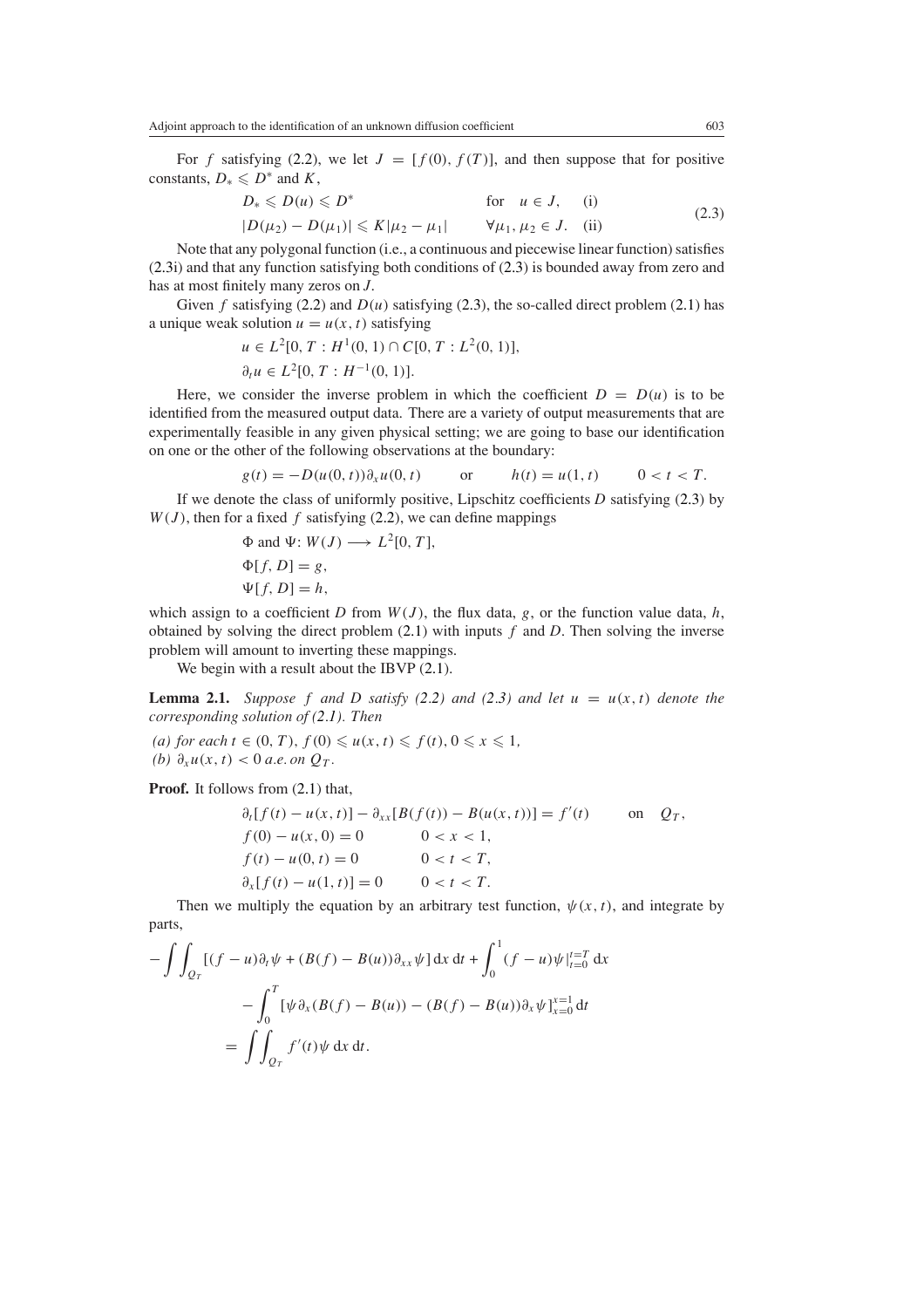<span id="page-2-0"></span>For *f* satisfying [\(2.2\)](#page-1-0), we let  $J = [f(0), f(T)]$ , and then suppose that for positive constants,  $D_* \leqslant D^*$  and *K*,

$$
D_* \le D(u) \le D^* \qquad \text{for} \quad u \in J, \quad \text{(i)}
$$
  

$$
|D(\mu_2) - D(\mu_1)| \le K|\mu_2 - \mu_1| \qquad \forall \mu_1, \mu_2 \in J. \quad \text{(ii)}
$$
 (2.3)

Note that any polygonal function (i.e., a continuous and piecewise linear function) satisfies [\(2.3i](#page-2-0)) and that any function satisfying both conditions of [\(2.3\)](#page-2-0) is bounded away from zero and has at most finitely many zeros on *J*.

Given *f* satisfying [\(2.2\)](#page-1-0) and  $D(u)$  satisfying [\(2.3\)](#page-2-0), the so-called direct problem [\(2.1\)](#page-1-1) has a unique weak solution  $u = u(x, t)$  satisfying

$$
u \in L^{2}[0, T : H^{1}(0, 1) \cap C[0, T : L^{2}(0, 1)],
$$
  

$$
\partial_{t}u \in L^{2}[0, T : H^{-1}(0, 1)].
$$

Here, we consider the inverse problem in which the coefficient  $D = D(u)$  is to be identified from the measured output data. There are a variety of output measurements that are experimentally feasible in any given physical setting; we are going to base our identification on one or the other of the following observations at the boundary:

$$
g(t) = -D(u(0, t))\partial_x u(0, t)
$$
 or  $h(t) = u(1, t)$  0 < t < T.

If we denote the class of uniformly positive, Lipschitz coefficients *D* satisfying [\(2.3\)](#page-2-0) by  $W(J)$ , then for a fixed f satisfying [\(2.2\)](#page-1-0), we can define mappings

$$
\Phi \text{ and } \Psi \colon W(J) \longrightarrow L^2[0, T],
$$
  
\n
$$
\Phi[f, D] = g,
$$
  
\n
$$
\Psi[f, D] = h,
$$

which assign to a coefficient *D* from  $W(J)$ , the flux data, *g*, or the function value data, *h*, obtained by solving the direct problem [\(2.1\)](#page-1-1) with inputs *f* and *D*. Then solving the inverse problem will amount to inverting these mappings.

We begin with a result about the IBVP  $(2.1)$ .

**Lemma 2.1.** *Suppose f and D satisfy* [\(2.2\)](#page-1-0) *and* [\(2.3\)](#page-2-0) *and let*  $u = u(x, t)$  *denote the corresponding solution of [\(2.1\)](#page-1-1). Then*

*(a)* for each *t* ∈ (0*, T*),  $f(0) \le u(x, t) \le f(t), 0 \le x \le 1$ , *(b)*  $\partial_x u(x, t) < 0$  *a.e. on*  $Q_T$ .

**Proof.** It follows from  $(2.1)$  that,

$$
\partial_t[f(t) - u(x, t)] - \partial_{xx}[B(f(t)) - B(u(x, t))] = f'(t) \quad \text{on} \quad Q_T,
$$
  
\n
$$
f(0) - u(x, 0) = 0 \quad 0 < x < 1,
$$
  
\n
$$
f(t) - u(0, t) = 0 \quad 0 < t < T,
$$
  
\n
$$
\partial_x[f(t) - u(1, t)] = 0 \quad 0 < t < T.
$$

Then we multiply the equation by an arbitrary test function,  $\psi(x, t)$ , and integrate by parts,

$$
-\int\int_{Q_T} [(f - u)\partial_t \psi + (B(f) - B(u))\partial_{xx}\psi] dx dt + \int_0^1 (f - u)\psi|_{t=0}^{t=T} dx
$$
  

$$
-\int_0^T [\psi \partial_x (B(f) - B(u)) - (B(f) - B(u))\partial_x \psi]_{x=0}^{x=1} dt
$$
  

$$
= \int\int_{Q_T} f'(t)\psi dx dt.
$$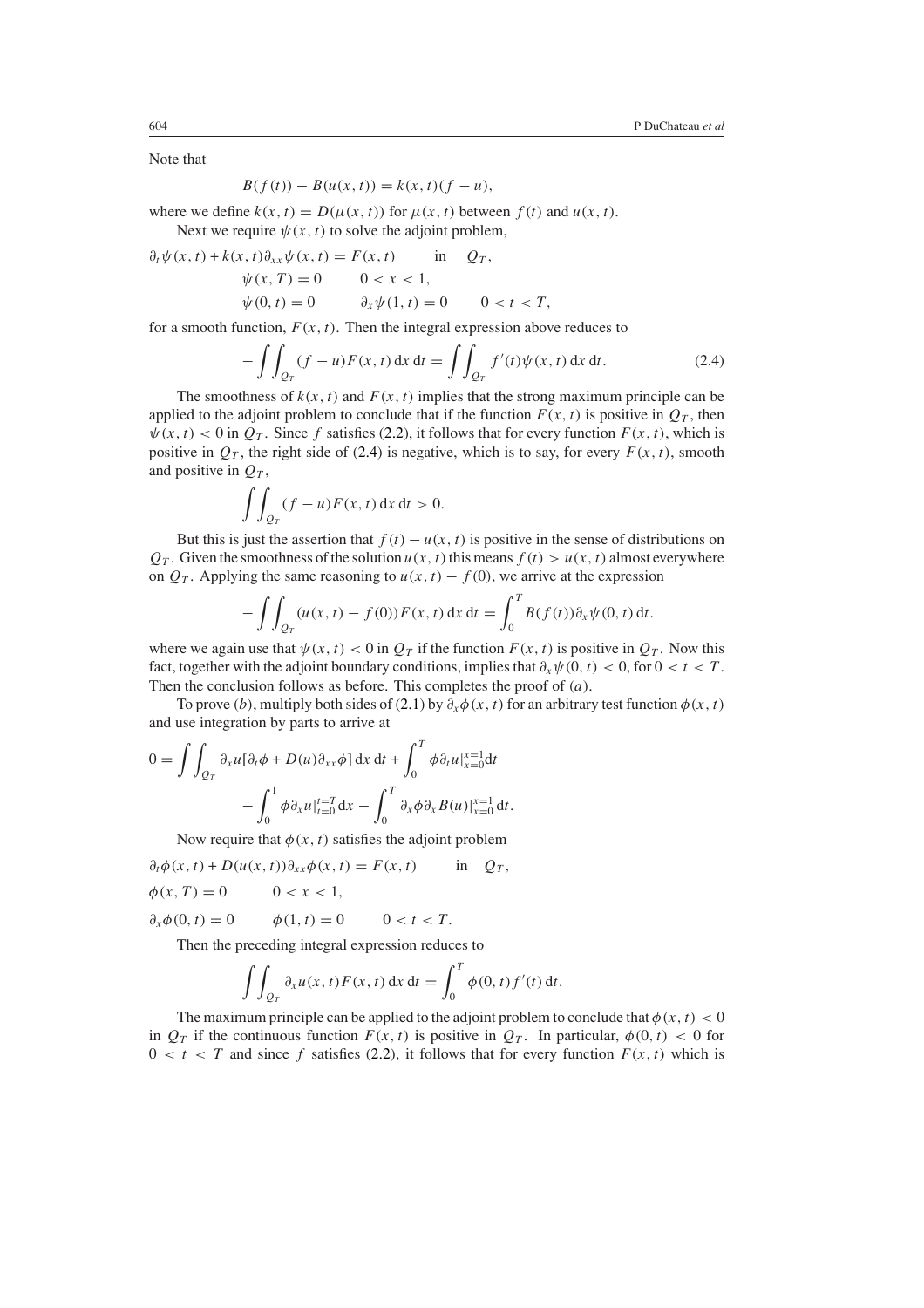Note that

$$
B(f(t)) - B(u(x, t)) = k(x, t)(f - u),
$$

where we define  $k(x, t) = D(\mu(x, t))$  for  $\mu(x, t)$  between  $f(t)$  and  $u(x, t)$ . Next we require  $\psi(x, t)$  to solve the adjoint problem,

$$
\partial_t \psi(x, t) + k(x, t) \partial_{xx} \psi(x, t) = F(x, t) \quad \text{in} \quad Q_T,
$$
  

$$
\psi(x, T) = 0 \quad 0 < x < 1,
$$
  

$$
\psi(0, t) = 0 \quad \partial_x \psi(1, t) = 0 \quad 0 < t < T,
$$

<span id="page-3-0"></span>for a smooth function,  $F(x, t)$ . Then the integral expression above reduces to

$$
-\int\int_{Q_T} (f - u) F(x, t) \, dx \, dt = \int\int_{Q_T} f'(t) \psi(x, t) \, dx \, dt. \tag{2.4}
$$

The smoothness of  $k(x, t)$  and  $F(x, t)$  implies that the strong maximum principle can be applied to the adjoint problem to conclude that if the function  $F(x, t)$  is positive in  $Q_T$ , then  $\psi(x, t) < 0$  in  $Q_T$ . Since f satisfies [\(2.2\)](#page-1-0), it follows that for every function  $F(x, t)$ , which is positive in  $Q_T$ , the right side of [\(2.4\)](#page-3-0) is negative, which is to say, for every  $F(x, t)$ , smooth and positive in  $O_T$ ,

$$
\int\int_{Q_T} (f-u) F(x,t) \, \mathrm{d}x \, \mathrm{d}t > 0.
$$

But this is just the assertion that  $f(t) - u(x, t)$  is positive in the sense of distributions on  $Q_T$ . Given the smoothness of the solution  $u(x, t)$  this means  $f(t) > u(x, t)$  almost everywhere on  $Q_T$ . Applying the same reasoning to  $u(x, t) - f(0)$ , we arrive at the expression

$$
-\int\int_{Q_T} (u(x,t)-f(0))F(x,t) dx dt = \int_0^T B(f(t))\partial_x \psi(0,t) dt.
$$

where we again use that  $\psi(x, t) < 0$  in  $Q_T$  if the function  $F(x, t)$  is positive in  $Q_T$ . Now this fact, together with the adjoint boundary conditions, implies that  $\partial_x \psi(0, t) < 0$ , for  $0 < t < T$ . Then the conclusion follows as before. This completes the proof of *(a)*.

To prove *(b)*, multiply both sides of [\(2.1\)](#page-1-1) by  $\partial_x \phi(x, t)$  for an arbitrary test function  $\phi(x, t)$ and use integration by parts to arrive at

$$
0 = \int\int_{Q_T} \partial_x u [\partial_t \phi + D(u) \partial_{xx} \phi] dx dt + \int_0^T \phi \partial_t u|_{x=0}^{x=1} dt - \int_0^1 \phi \partial_x u|_{t=0}^{t=T} dx - \int_0^T \partial_x \phi \partial_x B(u)|_{x=0}^{x=1} dt.
$$

Now require that  $\phi(x, t)$  satisfies the adjoint problem

$$
\partial_t \phi(x, t) + D(u(x, t)) \partial_{xx} \phi(x, t) = F(x, t) \quad \text{in} \quad Q_T,
$$

$$
\phi(x,T) = 0 \qquad \qquad 0 < x < 1,
$$

$$
\partial_x \phi(0, t) = 0
$$
  $\phi(1, t) = 0$   $0 < t < T$ .

Then the preceding integral expression reduces to

$$
\int\int_{Q_T} \partial_x u(x,t) F(x,t) \, \mathrm{d}x \, \mathrm{d}t = \int_0^T \phi(0,t) f'(t) \, \mathrm{d}t.
$$

The maximum principle can be applied to the adjoint problem to conclude that  $\phi(x, t) < 0$ in  $Q_T$  if the continuous function  $F(x, t)$  is positive in  $Q_T$ . In particular,  $\phi(0, t) < 0$  for  $0 < t < T$  and since f satisfies [\(2.2\)](#page-1-0), it follows that for every function  $F(x, t)$  which is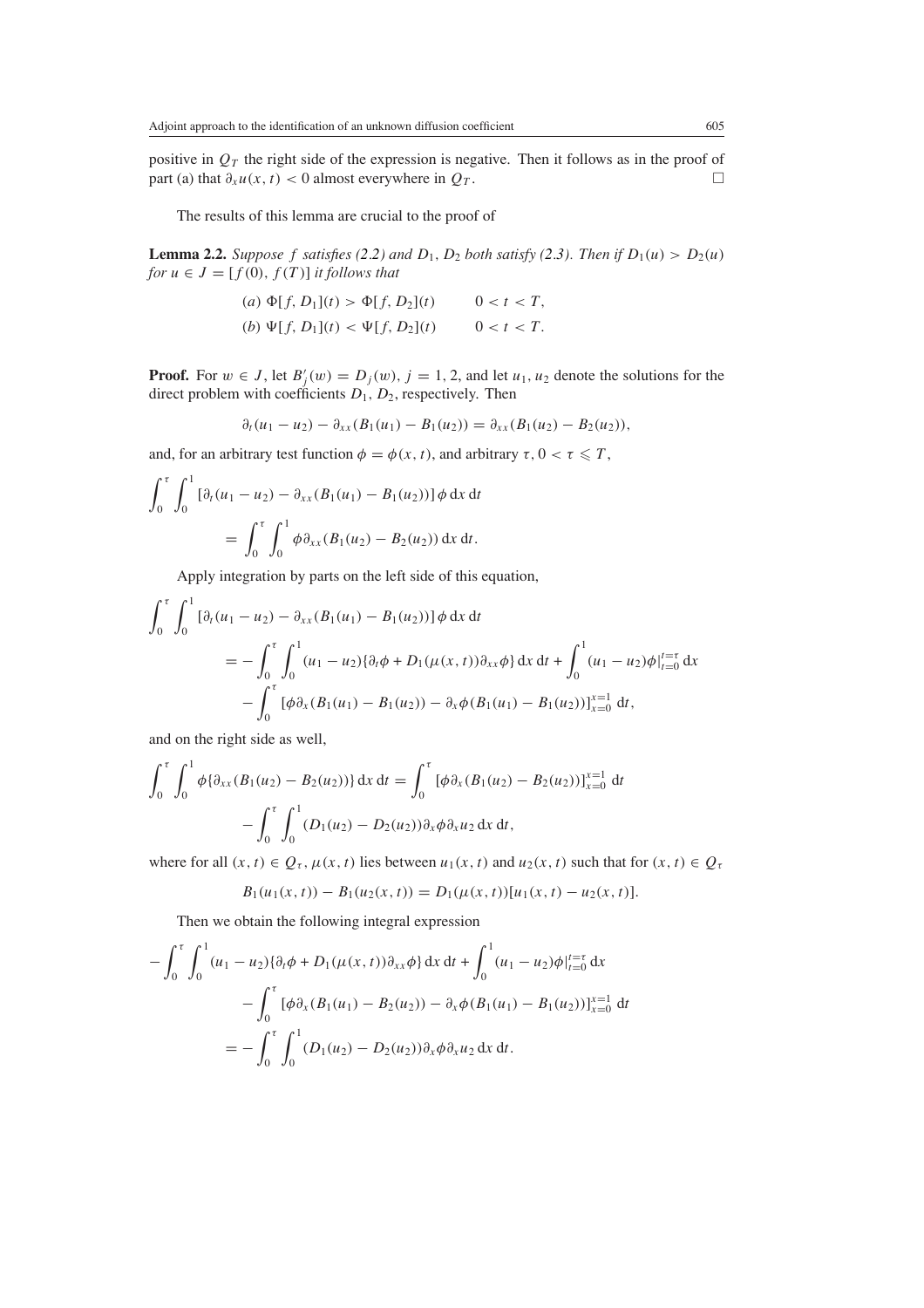positive in  $Q_T$  the right side of the expression is negative. Then it follows as in the proof of part (a) that  $\partial_x u(x, t) < 0$  almost everywhere in  $Q_T$ .  $\Box$ 

The results of this lemma are crucial to the proof of

**Lemma 2.2.** *Suppose f satisfies* [\(2.2\)](#page-1-0) *and*  $D_1$ ,  $D_2$  *both satisfy* [\(2.3\)](#page-2-0)*. Then if*  $D_1(u) > D_2(u)$ *for*  $u \in J = [f(0), f(T)]$  *it follows that* 

(a) 
$$
\Phi[f, D_1](t) > \Phi[f, D_2](t)
$$
 0 < t < T,  
(b)  $\Psi[f, D_1](t) < \Psi[f, D_2](t)$  0 < t < T.

**Proof.** For  $w \in J$ , let  $B'_{j}(w) = D_{j}(w)$ ,  $j = 1, 2$ , and let  $u_1, u_2$  denote the solutions for the direct problem with coefficients *D*1*, D*2, respectively. Then

$$
\partial_t(u_1-u_2)-\partial_{xx}(B_1(u_1)-B_1(u_2))=\partial_{xx}(B_1(u_2)-B_2(u_2)),
$$

and, for an arbitrary test function  $\phi = \phi(x, t)$ , and arbitrary  $\tau$ ,  $0 < \tau \leq T$ ,

$$
\int_0^{\tau} \int_0^1 \left[ \partial_t (u_1 - u_2) - \partial_{xx} (B_1(u_1) - B_1(u_2)) \right] \phi \, dx \, dt
$$

$$
= \int_0^{\tau} \int_0^1 \phi \partial_{xx} (B_1(u_2) - B_2(u_2)) \, dx \, dt.
$$

Apply integration by parts on the left side of this equation,

$$
\int_0^{\tau} \int_0^1 \left[ \partial_t (u_1 - u_2) - \partial_{xx} (B_1(u_1) - B_1(u_2)) \right] \phi \, dx \, dt
$$
\n
$$
= - \int_0^{\tau} \int_0^1 (u_1 - u_2) \{ \partial_t \phi + D_1(\mu(x, t)) \partial_{xx} \phi \} \, dx \, dt + \int_0^1 (u_1 - u_2) \phi \Big|_{t=0}^{t=\tau} dx
$$
\n
$$
- \int_0^{\tau} \left[ \phi \partial_x (B_1(u_1) - B_1(u_2)) - \partial_x \phi (B_1(u_1) - B_1(u_2)) \right]_{x=0}^{x=1} dt,
$$

and on the right side as well,

$$
\int_0^{\tau} \int_0^1 \phi \{ \partial_{xx} (B_1(u_2) - B_2(u_2)) \} dx dt = \int_0^{\tau} [\phi \partial_x (B_1(u_2) - B_2(u_2))]_{x=0}^{x=1} dt
$$

$$
- \int_0^{\tau} \int_0^1 (D_1(u_2) - D_2(u_2)) \partial_x \phi \partial_x u_2 dx dt,
$$

where for all  $(x, t) \in Q_{\tau}$ ,  $\mu(x, t)$  lies between  $u_1(x, t)$  and  $u_2(x, t)$  such that for  $(x, t) \in Q_{\tau}$ 

$$
B_1(u_1(x,t)) - B_1(u_2(x,t)) = D_1(\mu(x,t)) [u_1(x,t) - u_2(x,t)].
$$

Then we obtain the following integral expression

$$
-\int_0^{\tau} \int_0^1 (u_1 - u_2) \{ \partial_t \phi + D_1(\mu(x, t)) \partial_{xx} \phi \} dx dt + \int_0^1 (u_1 - u_2) \phi \Big|_{t=0}^{t=\tau} dx
$$
  

$$
-\int_0^{\tau} [\phi \partial_x (B_1(u_1) - B_2(u_2)) - \partial_x \phi (B_1(u_1) - B_1(u_2))]_{x=0}^{x=1} dt
$$
  

$$
= -\int_0^{\tau} \int_0^1 (D_1(u_2) - D_2(u_2)) \partial_x \phi \partial_x u_2 dx dt.
$$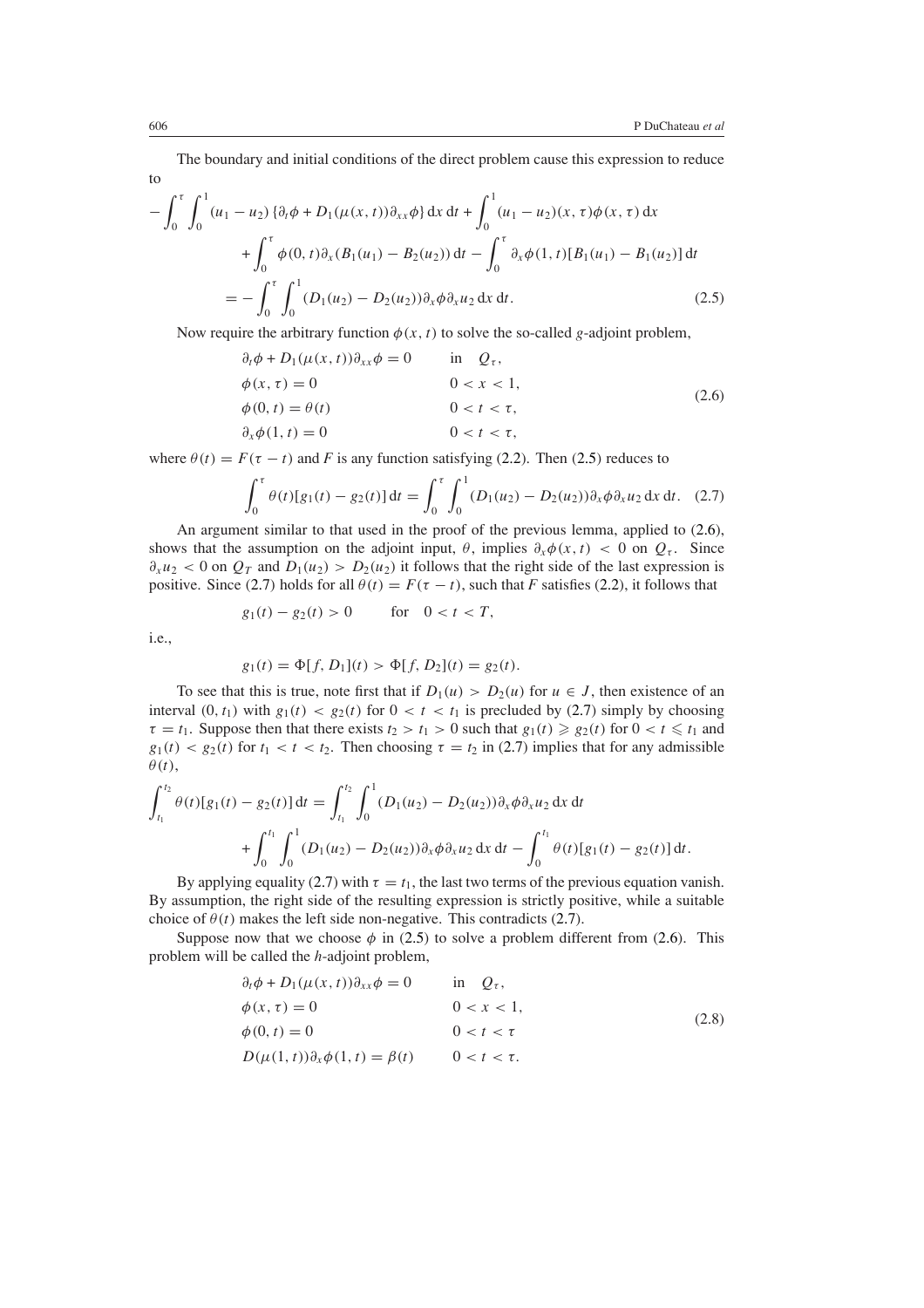The boundary and initial conditions of the direct problem cause this expression to reduce to

<span id="page-5-0"></span>
$$
-\int_0^{\tau} \int_0^1 (u_1 - u_2) \left\{ \partial_t \phi + D_1(\mu(x, t)) \partial_{xx} \phi \right\} dx dt + \int_0^1 (u_1 - u_2)(x, \tau) \phi(x, \tau) dx + \int_0^{\tau} \phi(0, t) \partial_x (B_1(u_1) - B_2(u_2)) dt - \int_0^{\tau} \partial_x \phi(1, t) [B_1(u_1) - B_1(u_2)] dt = -\int_0^{\tau} \int_0^1 (D_1(u_2) - D_2(u_2)) \partial_x \phi \partial_x u_2 dx dt.
$$
 (2.5)

<span id="page-5-1"></span>Now require the arbitrary function  $\phi(x, t)$  to solve the so-called *g*-adjoint problem,

$$
\partial_t \phi + D_1(\mu(x, t)) \partial_{xx} \phi = 0 \quad \text{in} \quad Q_\tau,
$$
  
\n
$$
\phi(x, \tau) = 0 \quad 0 < x < 1,
$$
  
\n
$$
\phi(0, t) = \theta(t) \quad 0 < t < \tau,
$$
  
\n
$$
\partial_x \phi(1, t) = 0 \quad 0 < t < \tau,
$$
  
\n(2.6)

<span id="page-5-2"></span>where  $\theta(t) = F(\tau - t)$  and *F* is any function satisfying [\(2.2\)](#page-1-0). Then ([2.5](#page-5-0)) reduces to

$$
\int_0^{\tau} \theta(t) [g_1(t) - g_2(t)] dt = \int_0^{\tau} \int_0^1 (D_1(u_2) - D_2(u_2)) \partial_x \phi \partial_x u_2 dx dt. \quad (2.7)
$$

An argument similar to that used in the proof of the previous lemma, applied to  $(2.6)$ , shows that the assumption on the adjoint input,  $\theta$ , implies  $\partial_x \phi(x, t) < 0$  on  $Q_\tau$ . Since  $\partial_x u_2$  < 0 on  $Q_T$  and  $D_1(u_2) > D_2(u_2)$  it follows that the right side of the last expression is positive. Since ([2.7](#page-5-2)) holds for all  $\theta(t) = F(\tau - t)$ , such that *F* satisfies [\(2.2\)](#page-1-0), it follows that

$$
g_1(t) - g_2(t) > 0
$$
 for  $0 < t < T$ ,

i.e.,

$$
g_1(t) = \Phi[f, D_1](t) > \Phi[f, D_2](t) = g_2(t).
$$

To see that this is true, note first that if  $D_1(u) > D_2(u)$  for  $u \in J$ , then existence of an interval  $(0, t_1)$  with  $g_1(t) < g_2(t)$  for  $0 < t < t_1$  is precluded by [\(2.7\)](#page-5-2) simply by choosing  $\tau = t_1$ . Suppose then that there exists  $t_2 > t_1 > 0$  such that  $g_1(t) \ge g_2(t)$  for  $0 < t \le t_1$  and  $g_1(t) < g_2(t)$  for  $t_1 < t < t_2$ . Then choosing  $\tau = t_2$  in [\(2.7\)](#page-5-2) implies that for any admissible *θ (t)*,

$$
\int_{t_1}^{t_2} \theta(t) [g_1(t) - g_2(t)] dt = \int_{t_1}^{t_2} \int_0^1 (D_1(u_2) - D_2(u_2)) \partial_x \phi \partial_x u_2 dx dt + \int_0^{t_1} \int_0^1 (D_1(u_2) - D_2(u_2)) \partial_x \phi \partial_x u_2 dx dt - \int_0^{t_1} \theta(t) [g_1(t) - g_2(t)] dt.
$$

By applying equality [\(2.7\)](#page-5-2) with  $\tau = t_1$ , the last two terms of the previous equation vanish. By assumption, the right side of the resulting expression is strictly positive, while a suitable choice of  $\theta(t)$  makes the left side non-negative. This contradicts [\(2.7\)](#page-5-2).

<span id="page-5-3"></span>Suppose now that we choose  $\phi$  in [\(2.5\)](#page-5-0) to solve a problem different from [\(2.6\)](#page-5-1). This problem will be called the *h*-adjoint problem,

$$
\partial_t \phi + D_1(\mu(x, t)) \partial_{xx} \phi = 0 \qquad \text{in} \quad Q_\tau,
$$
  
\n
$$
\phi(x, \tau) = 0 \qquad 0 < x < 1,
$$
  
\n
$$
\phi(0, t) = 0 \qquad 0 < t < \tau
$$
  
\n
$$
D(\mu(1, t)) \partial_x \phi(1, t) = \beta(t) \qquad 0 < t < \tau.
$$
\n(2.8)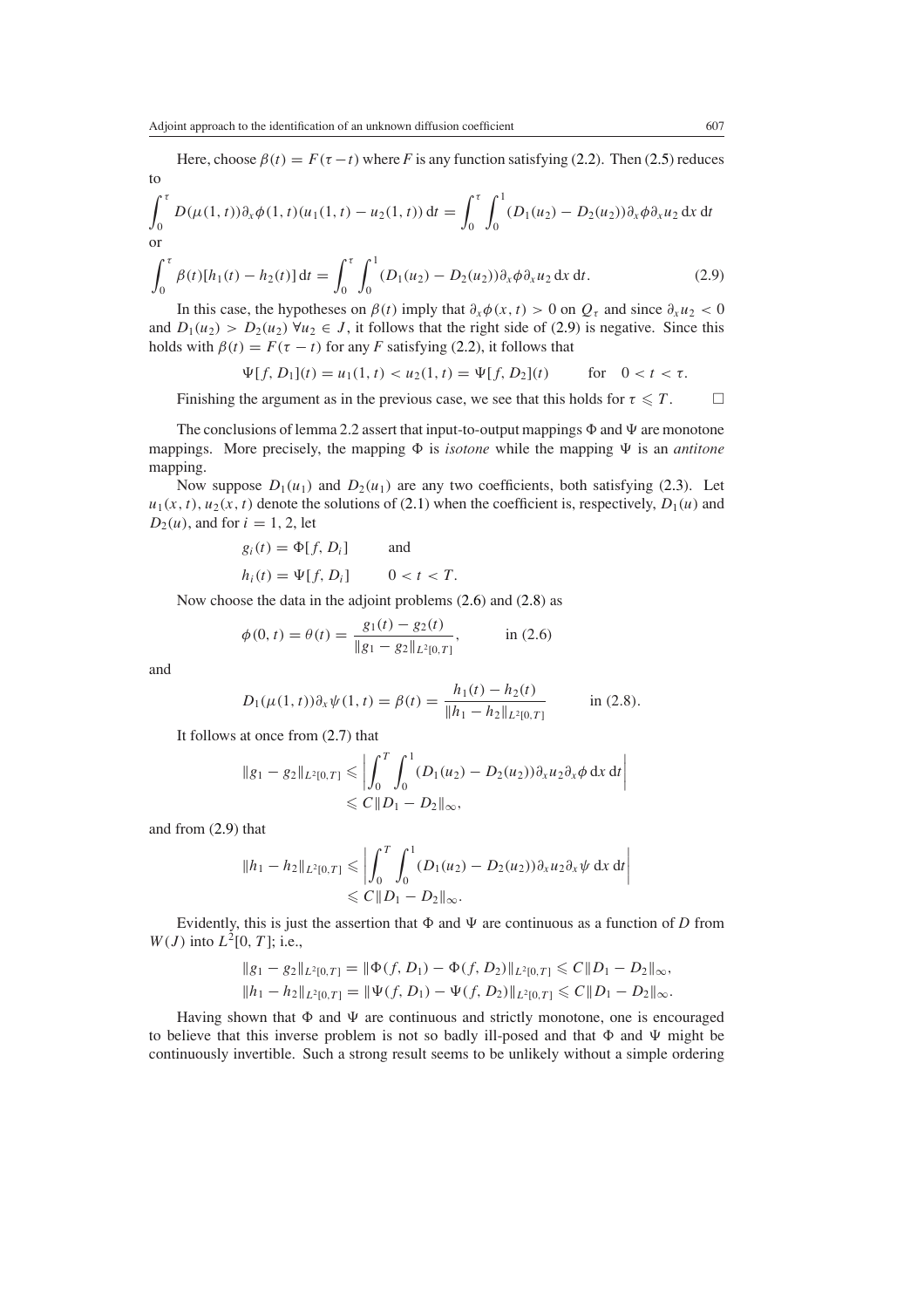Here, choose  $\beta(t) = F(\tau - t)$  where *F* is any function satisfying [\(2.2\)](#page-1-0). Then [\(2.5\)](#page-5-0) reduces to

$$
\int_0^{\tau} D(\mu(1, t)) \partial_x \phi(1, t) (u_1(1, t) - u_2(1, t)) dt = \int_0^{\tau} \int_0^1 (D_1(u_2) - D_2(u_2)) \partial_x \phi \partial_x u_2 dx dt
$$
  
or

<span id="page-6-0"></span>
$$
\int_0^{\tau} \beta(t)[h_1(t) - h_2(t)] dt = \int_0^{\tau} \int_0^1 (D_1(u_2) - D_2(u_2)) \partial_x \phi \partial_x u_2 dx dt.
$$
 (2.9)

In this case, the hypotheses on  $\beta(t)$  imply that  $\partial_x \phi(x, t) > 0$  on  $Q_\tau$  and since  $\partial_x u_2 < 0$ and  $D_1(u_2) > D_2(u_2)$   $\forall u_2 \in J$ , it follows that the right side of [\(2.9\)](#page-6-0) is negative. Since this holds with  $\beta(t) = F(\tau - t)$  for any *F* satisfying [\(2.2\)](#page-1-0), it follows that

$$
\Psi[f, D_1](t) = u_1(1, t) < u_2(1, t) = \Psi[f, D_2](t) \qquad \text{for} \quad 0 < t < \tau.
$$

Finishing the argument as in the previous case, we see that this holds for  $\tau \leq T$ .  $\Box$ 

The conclusions of lemma 2.2 assert that input-to-output mappings  $\Phi$  and  $\Psi$  are monotone mappings. More precisely, the mapping  $\Phi$  is *isotone* while the mapping  $\Psi$  is an *antitone* mapping.

Now suppose  $D_1(u_1)$  and  $D_2(u_1)$  are any two coefficients, both satisfying [\(2.3\)](#page-2-0). Let  $u_1(x, t)$ ,  $u_2(x, t)$  denote the solutions of [\(2.1\)](#page-1-1) when the coefficient is, respectively,  $D_1(u)$  and  $D_2(u)$ , and for  $i = 1, 2$ , let

$$
g_i(t) = \Phi[f, D_i]
$$
 and  
\n $h_i(t) = \Psi[f, D_i]$  0 < t < T.

Now choose the data in the adjoint problems [\(2.6\)](#page-5-1) and [\(2.8\)](#page-5-3) as

$$
\phi(0, t) = \theta(t) = \frac{g_1(t) - g_2(t)}{\|g_1 - g_2\|_{L^2[0, T]}}, \quad \text{in (2.6)}
$$

and

$$
D_1(\mu(1, t))\partial_x \psi(1, t) = \beta(t) = \frac{h_1(t) - h_2(t)}{\|h_1 - h_2\|_{L^2[0, T]}} \quad \text{in (2.8)}.
$$

It follows at once from [\(2.7\)](#page-5-2) that

$$
\|g_1 - g_2\|_{L^2[0,T]} \leq \left| \int_0^T \int_0^1 (D_1(u_2) - D_2(u_2)) \partial_x u_2 \partial_x \phi \, dx \, dt \right|
$$
  
  $\leq C \|D_1 - D_2\|_{\infty},$ 

and from [\(2.9\)](#page-6-0) that

$$
||h_1 - h_2||_{L^2[0,T]} \leq \left| \int_0^T \int_0^1 (D_1(u_2) - D_2(u_2)) \partial_x u_2 \partial_x \psi \, dx \, dt \right|
$$
  
  $\leq C ||D_1 - D_2||_{\infty}.$ 

Evidently, this is just the assertion that  $\Phi$  and  $\Psi$  are continuous as a function of *D* from *W (J )* into *L*2[0*, T* ]; i.e.,

$$
||g_1 - g_2||_{L^2[0,T]} = ||\Phi(f, D_1) - \Phi(f, D_2)||_{L^2[0,T]} \leq C||D_1 - D_2||_{\infty},
$$
  

$$
||h_1 - h_2||_{L^2[0,T]} = ||\Psi(f, D_1) - \Psi(f, D_2)||_{L^2[0,T]} \leq C||D_1 - D_2||_{\infty}.
$$

Having shown that  $\Phi$  and  $\Psi$  are continuous and strictly monotone, one is encouraged to believe that this inverse problem is not so badly ill-posed and that  $\Phi$  and  $\Psi$  might be continuously invertible. Such a strong result seems to be unlikely without a simple ordering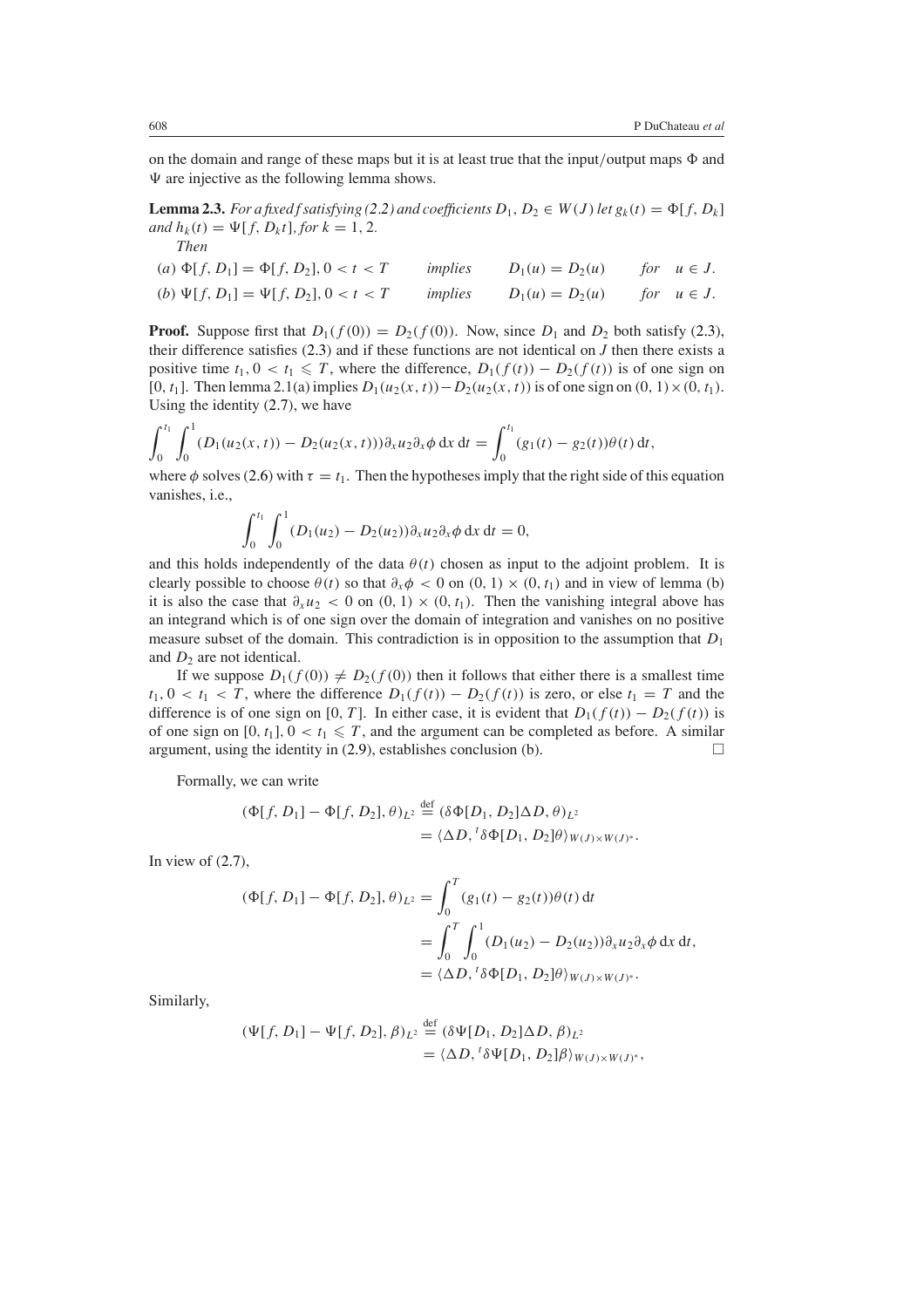on the domain and range of these maps but it is at least true that the input/output maps  $\Phi$  and  $\Psi$  are injective as the following lemma shows.

**Lemma 2.3.** *For a fixed f satisfying [\(2.2\)](#page-1-0) and coefficients*  $D_1$ ,  $D_2 \in W(J)$  *let*  $g_k(t) = \Phi[f, D_k]$ *and*  $h_k(t) = \Psi[f, D_kt]$ *, for*  $k = 1, 2$ *. Then*

| (a) $\Phi[f, D_1] = \Phi[f, D_2], 0 < t < T$ | implies | $D_1(u) = D_2(u)$ for $u \in J$ . |  |
|----------------------------------------------|---------|-----------------------------------|--|
| (b) $\Psi[f, D_1] = \Psi[f, D_2], 0 < t < T$ | implies | $D_1(u) = D_2(u)$ for $u \in J$ . |  |

**Proof.** Suppose first that  $D_1(f(0)) = D_2(f(0))$ . Now, since  $D_1$  and  $D_2$  both satisfy [\(2.3\)](#page-2-0), their difference satisfies  $(2.3)$  and if these functions are not identical on  $J$  then there exists a positive time  $t_1$ ,  $0 < t_1 \leq T$ , where the difference,  $D_1(f(t)) - D_2(f(t))$  is of one sign on [0*, t*<sub>1</sub>]. Then lemma 2.1(a) implies  $D_1(u_2(x, t)) - D_2(u_2(x, t))$  is of one sign on  $(0, 1) \times (0, t_1)$ . Using the identity [\(2.7\)](#page-5-2), we have

$$
\int_0^{t_1} \int_0^1 (D_1(u_2(x,t)) - D_2(u_2(x,t))) \partial_x u_2 \partial_x \phi \, dx \, dt = \int_0^{t_1} (g_1(t) - g_2(t)) \theta(t) \, dt,
$$

where  $\phi$  solves [\(2.6\)](#page-5-1) with  $\tau = t_1$ . Then the hypotheses imply that the right side of this equation vanishes, i.e.,

$$
\int_0^{t_1} \int_0^1 (D_1(u_2) - D_2(u_2)) \partial_x u_2 \partial_x \phi \, dx \, dt = 0,
$$

and this holds independently of the data  $\theta(t)$  chosen as input to the adjoint problem. It is clearly possible to choose  $\theta(t)$  so that  $\partial_x \phi < 0$  on  $(0, 1) \times (0, t_1)$  and in view of lemma (b) it is also the case that  $\partial_x u_2 < 0$  on  $(0, 1) \times (0, t_1)$ . Then the vanishing integral above has an integrand which is of one sign over the domain of integration and vanishes on no positive measure subset of the domain. This contradiction is in opposition to the assumption that *D*<sup>1</sup> and  $D_2$  are not identical.

If we suppose  $D_1(f(0)) \neq D_2(f(0))$  then it follows that either there is a smallest time  $t_1$ ,  $0 < t_1 < T$ , where the difference  $D_1(f(t)) - D_2(f(t))$  is zero, or else  $t_1 = T$  and the difference is of one sign on [0, T]. In either case, it is evident that  $D_1(f(t)) - D_2(f(t))$  is of one sign on  $[0, t_1]$ ,  $0 < t_1 \leq T$ , and the argument can be completed as before. A similar argument, using the identity in [\(2.9\)](#page-6-0), establishes conclusion (b).  $\Box$ 

Formally, we can write

$$
\begin{aligned} (\Phi[f, D_1] - \Phi[f, D_2], \theta)_{L^2} & \stackrel{\text{def}}{=} (\delta \Phi[D_1, D_2] \Delta D, \theta)_{L^2} \\ & = \langle \Delta D, {}^t \delta \Phi[D_1, D_2] \theta \rangle_{W(J) \times W(J)^*}. \end{aligned}
$$

def

In view of  $(2.7)$ ,

$$
\begin{aligned} (\Phi[f, D_1] - \Phi[f, D_2], \theta)_{L^2} &= \int_0^T (g_1(t) - g_2(t))\theta(t) \, \mathrm{d}t \\ &= \int_0^T \int_0^1 (D_1(u_2) - D_2(u_2))\partial_x u_2 \partial_x \phi \, \mathrm{d}x \, \mathrm{d}t, \\ &= \langle \Delta D, \, \, \delta \Phi[D_1, D_2] \theta \rangle_{W(J) \times W(J)^*}. \end{aligned}
$$

Similarly,

$$
(\Psi[f, D_1] - \Psi[f, D_2], \beta)_{L^2} \stackrel{\text{def}}{=} (\delta \Psi[D_1, D_2] \Delta D, \beta)_{L^2}
$$
  
=  $\langle \Delta D, {}^t \delta \Psi[D_1, D_2] \beta \rangle_{W(J) \times W(J)^*},$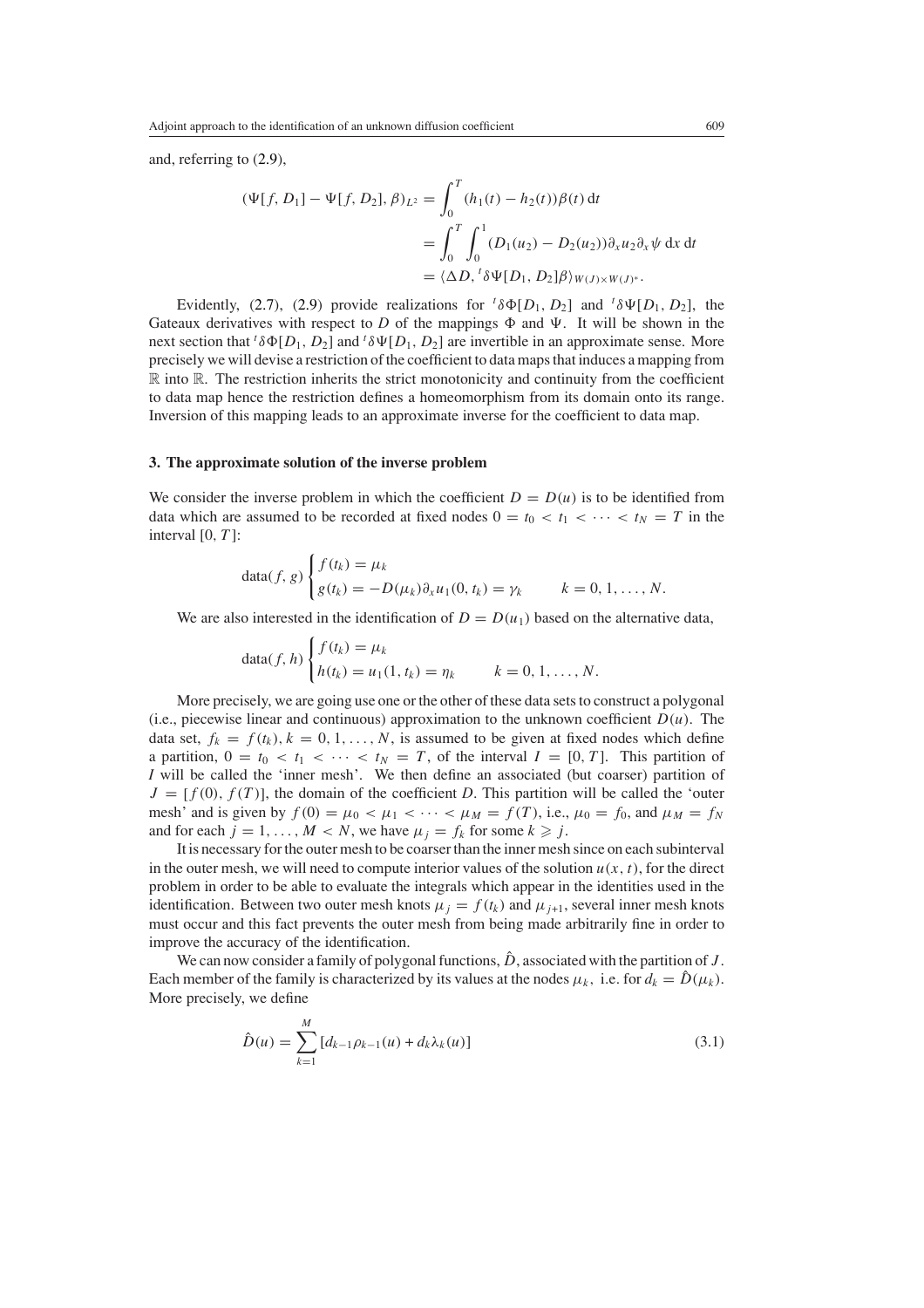and, referring to [\(2.9\)](#page-6-0),

$$
(\Psi[f, D_1] - \Psi[f, D_2], \beta)_{L^2} = \int_0^T (h_1(t) - h_2(t))\beta(t) dt
$$
  
= 
$$
\int_0^T \int_0^1 (D_1(u_2) - D_2(u_2))\partial_x u_2 \partial_x \psi dx dt
$$
  
= 
$$
\langle \Delta D, {}^t \delta \Psi[D_1, D_2] \beta \rangle_{W(J) \times W(J)^*}.
$$

Evidently, [\(2.7\)](#page-5-2), [\(2.9\)](#page-6-0) provide realizations for  ${}^{t}\delta\Phi[D_1, D_2]$  and  ${}^{t}\delta\Psi[D_1, D_2]$ , the Gateaux derivatives with respect to *D* of the mappings  $\Phi$  and  $\Psi$ . It will be shown in the next section that  ${}^{t}\delta\Phi[D_1, D_2]$  and  ${}^{t}\delta\Psi[D_1, D_2]$  are invertible in an approximate sense. More precisely we will devise a restriction of the coefficient to data maps that induces a mapping from  $\mathbb R$  into  $\mathbb R$ . The restriction inherits the strict monotonicity and continuity from the coefficient to data map hence the restriction defines a homeomorphism from its domain onto its range. Inversion of this mapping leads to an approximate inverse for the coefficient to data map.

#### **3. The approximate solution of the inverse problem**

We consider the inverse problem in which the coefficient  $D = D(u)$  is to be identified from data which are assumed to be recorded at fixed nodes  $0 = t_0 < t_1 < \cdots < t_N = T$  in the interval [0*, T* ]:

$$
\operatorname{data}(f, g) \begin{cases} f(t_k) = \mu_k \\ g(t_k) = -D(\mu_k) \partial_x u_1(0, t_k) = \gamma_k \end{cases} \quad k = 0, 1, \dots, N.
$$

We are also interested in the identification of  $D = D(u_1)$  based on the alternative data,

$$
\text{data}(f, h) \begin{cases} f(t_k) = \mu_k \\ h(t_k) = u_1(1, t_k) = \eta_k \end{cases} \quad k = 0, 1, ..., N.
$$

More precisely, we are going use one or the other of these data sets to construct a polygonal (i.e., piecewise linear and continuous) approximation to the unknown coefficient  $D(u)$ . The data set,  $f_k = f(t_k)$ ,  $k = 0, 1, ..., N$ , is assumed to be given at fixed nodes which define a partition,  $0 = t_0 < t_1 < \cdots < t_N = T$ , of the interval  $I = [0, T]$ . This partition of *I* will be called the 'inner mesh'. We then define an associated (but coarser) partition of  $J = [f(0), f(T)]$ , the domain of the coefficient *D*. This partition will be called the 'outer mesh' and is given by  $f(0) = \mu_0 < \mu_1 < \cdots < \mu_M = f(T)$ , i.e.,  $\mu_0 = f_0$ , and  $\mu_M = f_N$ and for each  $j = 1, \ldots, M < N$ , we have  $\mu_j = f_k$  for some  $k \geq j$ .

It is necessary for the outer mesh to be coarser than the inner mesh since on each subinterval in the outer mesh, we will need to compute interior values of the solution  $u(x, t)$ , for the direct problem in order to be able to evaluate the integrals which appear in the identities used in the identification. Between two outer mesh knots  $\mu_j = f(t_k)$  and  $\mu_{j+1}$ , several inner mesh knots must occur and this fact prevents the outer mesh from being made arbitrarily fine in order to improve the accuracy of the identification.

<span id="page-8-0"></span>We can now consider a family of polygonal functions,  $\hat{D}$ , associated with the partition of  $J$ . Each member of the family is characterized by its values at the nodes  $\mu_k$ , i.e. for  $d_k = \hat{D}(\mu_k)$ . More precisely, we define

$$
\hat{D}(u) = \sum_{k=1}^{M} \left[ d_{k-1} \rho_{k-1}(u) + d_k \lambda_k(u) \right]
$$
\n(3.1)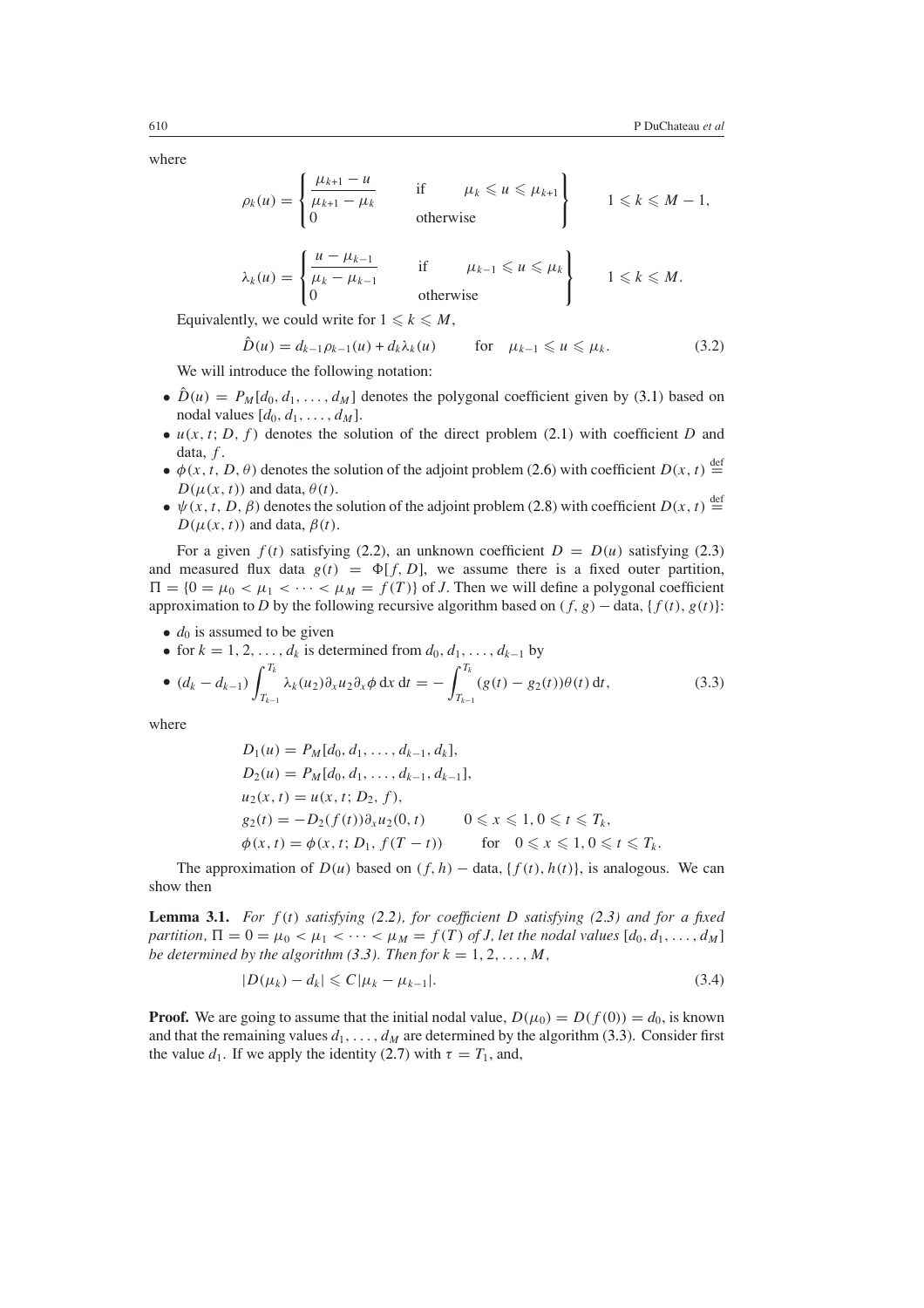where

$$
\rho_k(u) = \begin{cases} \frac{\mu_{k+1} - u}{\mu_{k+1} - \mu_k} & \text{if } \mu_k \le u \le \mu_{k+1} \\ 0 & \text{otherwise} \end{cases} \quad 1 \le k \le M - 1,
$$

$$
\lambda_k(u) = \begin{cases} \frac{u - \mu_{k-1}}{\mu_k - \mu_{k-1}} & \text{if } \mu_{k-1} \le u \le \mu_k \\ 0 & \text{otherwise} \end{cases} \quad 1 \le k \le M.
$$

<span id="page-9-1"></span>Equivalently, we could write for  $1 \leq k \leq M$ ,

$$
\hat{D}(u) = d_{k-1}\rho_{k-1}(u) + d_k\lambda_k(u) \qquad \text{for} \quad \mu_{k-1} \leqslant u \leqslant \mu_k. \tag{3.2}
$$

We will introduce the following notation:

- $\hat{D}(u) = P_M[d_0, d_1, \ldots, d_M]$  denotes the polygonal coefficient given by [\(3.1\)](#page-8-0) based on nodal values  $[d_0, d_1, \ldots, d_M]$ .
- $u(x, t; D, f)$  denotes the solution of the direct problem [\(2.1\)](#page-1-1) with coefficient *D* and data, *f* .
- $\phi(x, t, D, \theta)$  denotes the solution of the adjoint problem [\(2.6\)](#page-5-1) with coefficient  $D(x, t) \stackrel{\text{def}}{=}$  $D(u(x, t))$  and data,  $\theta(t)$ .
- $\psi(x, t, D, \beta)$  denotes the solution of the adjoint problem [\(2.8\)](#page-5-3) with coefficient  $D(x, t) \stackrel{\text{def}}{=}$  $D(\mu(x, t))$  and data,  $\beta(t)$ .

For a given  $f(t)$  satisfying [\(2.2\)](#page-1-0), an unknown coefficient  $D = D(u)$  satisfying [\(2.3\)](#page-2-0) and measured flux data  $g(t) = \Phi[f, D]$ , we assume there is a fixed outer partition,  $\Pi = \{0 = \mu_0 < \mu_1 < \cdots < \mu_M = f(T)\}\$  of *J*. Then we will define a polygonal coefficient approximation to *D* by the following recursive algorithm based on  $(f, g)$  – data,  $\{f(t), g(t)\}$ :

 $\bullet$  *d*<sup>0</sup> is assumed to be given

<span id="page-9-0"></span>• for 
$$
k = 1, 2, ..., d_k
$$
 is determined from  $d_0, d_1, ..., d_{k-1}$  by  
\n•  $(d_k - d_{k-1}) \int_{T_{k-1}}^{T_k} \lambda_k(u_2) \partial_x u_2 \partial_x \phi \, dx \, dt = - \int_{T_{k-1}}^{T_k} (g(t) - g_2(t)) \theta(t) \, dt,$  (3.3)

where

$$
D_1(u) = P_M[d_0, d_1, ..., d_{k-1}, d_k],
$$
  
\n
$$
D_2(u) = P_M[d_0, d_1, ..., d_{k-1}, d_{k-1}],
$$
  
\n
$$
u_2(x, t) = u(x, t; D_2, f),
$$
  
\n
$$
g_2(t) = -D_2(f(t))\partial_x u_2(0, t) \qquad 0 \le x \le 1, 0 \le t \le T_k,
$$
  
\n
$$
\phi(x, t) = \phi(x, t; D_1, f(T - t)) \qquad \text{for} \quad 0 \le x \le 1, 0 \le t \le T_k.
$$

The approximation of  $D(u)$  based on  $(f, h)$  – data,  $\{f(t), h(t)\}\)$ , is analogous. We can show then

<span id="page-9-2"></span>**Lemma 3.1.** *For f (t) satisfying [\(2.2\)](#page-1-0), for coefficient D satisfying [\(2.3\)](#page-2-0) and for a fixed partition,*  $\Pi = 0 = \mu_0 < \mu_1 < \cdots < \mu_M = f(T)$  *of J, let the nodal values*  $[d_0, d_1, \ldots, d_M]$ *be determined by the algorithm [\(3.3\)](#page-9-0). Then for*  $k = 1, 2, \ldots, M$ *,* 

$$
|D(\mu_k) - d_k| \leq C |\mu_k - \mu_{k-1}|.
$$
\n(3.4)

**Proof.** We are going to assume that the initial nodal value,  $D(\mu_0) = D(f(0)) = d_0$ , is known and that the remaining values  $d_1, \ldots, d_M$  are determined by the algorithm [\(3.3\)](#page-9-0). Consider first the value  $d_1$ . If we apply the identity [\(2.7\)](#page-5-2) with  $\tau = T_1$ , and,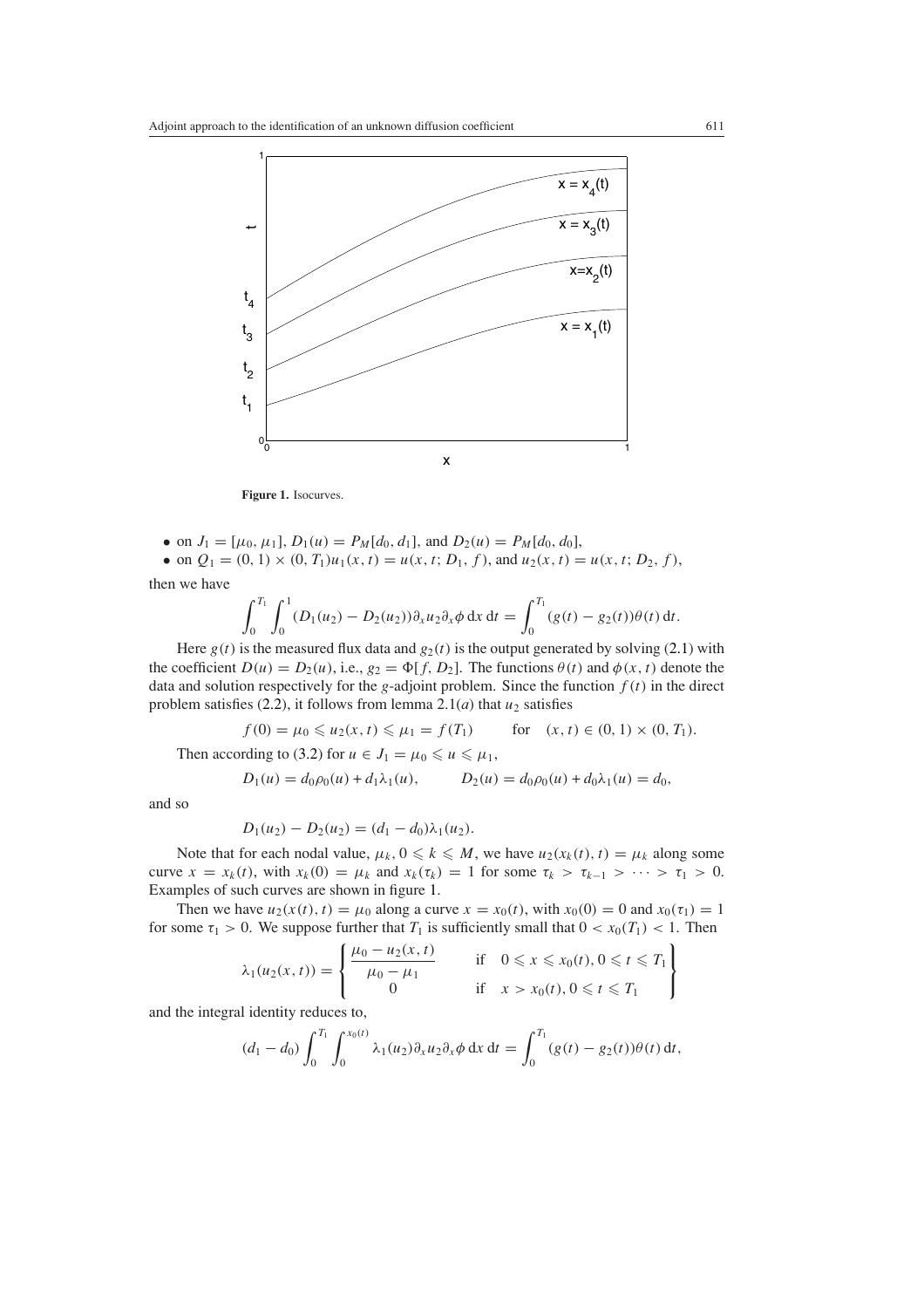

**Figure 1.** Isocurves.

- <span id="page-10-0"></span>• on  $J_1 = [\mu_0, \mu_1]$ ,  $D_1(u) = P_M[d_0, d_1]$ , and  $D_2(u) = P_M[d_0, d_0]$ ,
- on  $Q_1 = (0, 1) \times (0, T_1)u_1(x, t) = u(x, t; D_1, f)$ , and  $u_2(x, t) = u(x, t; D_2, f)$ ,

then we have

$$
\int_0^{T_1} \int_0^1 (D_1(u_2) - D_2(u_2)) \partial_x u_2 \partial_x \phi \, dx \, dt = \int_0^{T_1} (g(t) - g_2(t)) \theta(t) \, dt.
$$

Here  $g(t)$  is the measured flux data and  $g_2(t)$  is the output generated by solving [\(2.1\)](#page-1-1) with the coefficient  $D(u) = D_2(u)$ , i.e.,  $g_2 = \Phi[f, D_2]$ . The functions  $\theta(t)$  and  $\phi(x, t)$  denote the data and solution respectively for the *g*-adjoint problem. Since the function  $f(t)$  in the direct problem satisfies [\(2.2\)](#page-1-0), it follows from lemma 2.1(*a*) that  $u_2$  satisfies

 $f(0) = \mu_0 \leq \mu_2(x, t) \leq \mu_1 = f(T_1)$  for  $(x, t) \in (0, 1) \times (0, T_1)$ .

Then according to [\(3.2\)](#page-9-1) for  $u \in J_1 = \mu_0 \leq u \leq \mu_1$ ,

$$
D_1(u) = d_0 \rho_0(u) + d_1 \lambda_1(u), \qquad D_2(u) = d_0 \rho_0(u) + d_0 \lambda_1(u) = d_0,
$$

and so

$$
D_1(u_2) - D_2(u_2) = (d_1 - d_0)\lambda_1(u_2).
$$

Note that for each nodal value,  $\mu_k$ ,  $0 \le k \le M$ , we have  $u_2(x_k(t), t) = \mu_k$  along some curve  $x = x_k(t)$ , with  $x_k(0) = \mu_k$  and  $x_k(\tau_k) = 1$  for some  $\tau_k > \tau_{k-1} > \cdots > \tau_1 > 0$ . Examples of such curves are shown in figure [1.](#page-10-0)

Then we have  $u_2(x(t), t) = \mu_0$  along a curve  $x = x_0(t)$ , with  $x_0(0) = 0$  and  $x_0(\tau_1) = 1$ for some  $\tau_1 > 0$ . We suppose further that  $T_1$  is sufficiently small that  $0 < x_0(T_1) < 1$ . Then

$$
\lambda_1(u_2(x, t)) = \begin{cases} \frac{\mu_0 - u_2(x, t)}{\mu_0 - \mu_1} & \text{if } 0 \leq x \leq x_0(t), 0 \leq t \leq T_1 \\ 0 & \text{if } x > x_0(t), 0 \leq t \leq T_1 \end{cases}
$$

and the integral identity reduces to,

$$
(d_1-d_0)\int_0^{T_1}\int_0^{x_0(t)}\lambda_1(u_2)\partial_xu_2\partial_x\phi\,dx\,dt=\int_0^{T_1}(g(t)-g_2(t))\theta(t)\,dt,
$$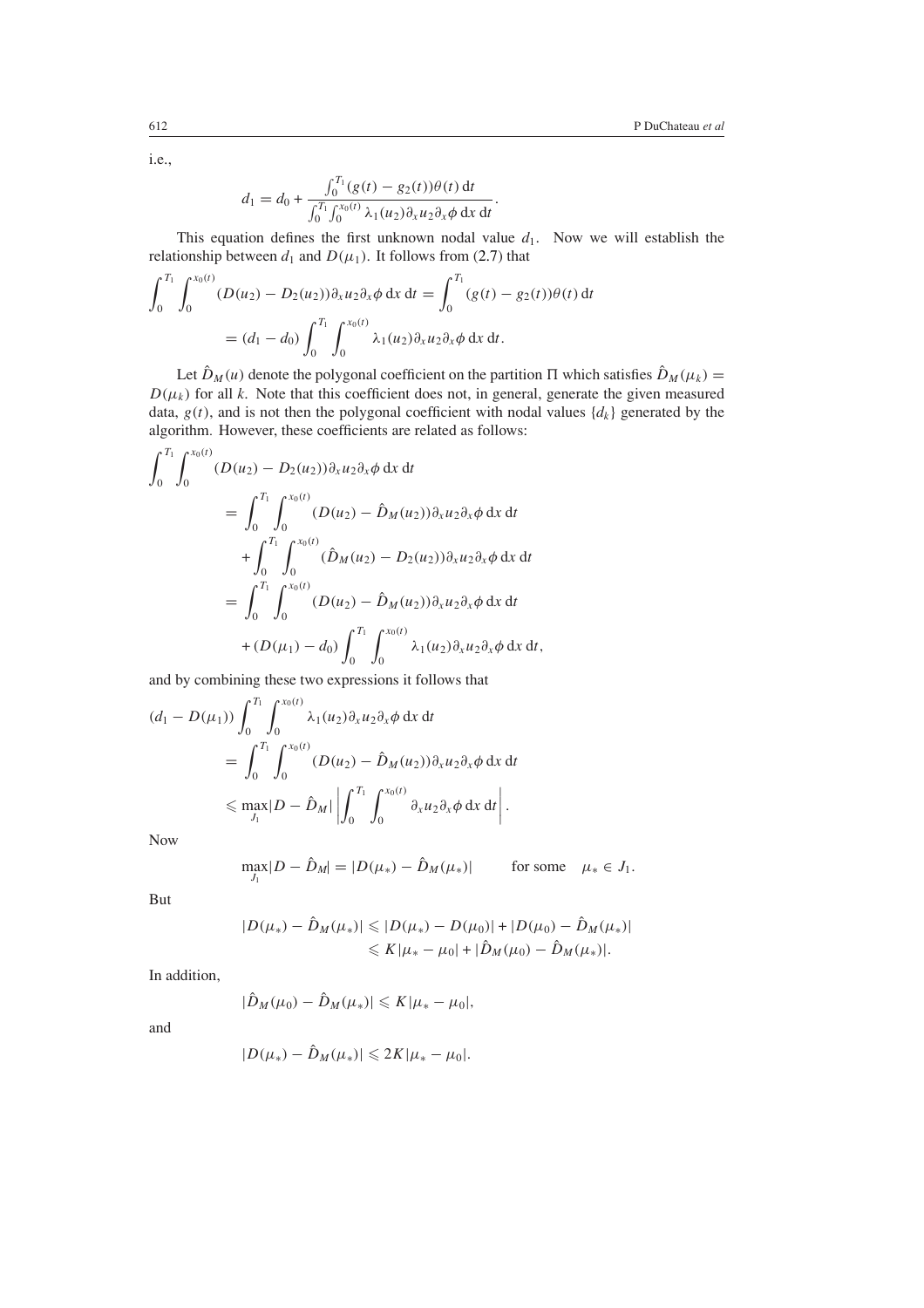i.e.,

$$
d_1 = d_0 + \frac{\int_0^{T_1} (g(t) - g_2(t)) \theta(t) dt}{\int_0^{T_1} \int_0^{x_0(t)} \lambda_1(u_2) \partial_x u_2 \partial_x \phi dx dt}.
$$

This equation defines the first unknown nodal value  $d_1$ . Now we will establish the relationship between  $d_1$  and  $D(\mu_1)$ . It follows from [\(2.7\)](#page-5-2) that

$$
\int_0^{T_1} \int_0^{x_0(t)} (D(u_2) - D_2(u_2)) \partial_x u_2 \partial_x \phi \, dx \, dt = \int_0^{T_1} (g(t) - g_2(t)) \theta(t) \, dt
$$

$$
= (d_1 - d_0) \int_0^{T_1} \int_0^{x_0(t)} \lambda_1(u_2) \partial_x u_2 \partial_x \phi \, dx \, dt.
$$

Let  $\hat{D}_M(u)$  denote the polygonal coefficient on the partition  $\Pi$  which satisfies  $\hat{D}_M(\mu_k)$  =  $D(\mu_k)$  for all *k*. Note that this coefficient does not, in general, generate the given measured data,  $g(t)$ , and is not then the polygonal coefficient with nodal values  $\{d_k\}$  generated by the algorithm*.* However, these coefficients are related as follows:

$$
\int_{0}^{T_{1}} \int_{0}^{x_{0}(t)} (D(u_{2}) - D_{2}(u_{2})) \partial_{x} u_{2} \partial_{x} \phi \, dx \, dt
$$
\n
$$
= \int_{0}^{T_{1}} \int_{0}^{x_{0}(t)} (D(u_{2}) - \hat{D}_{M}(u_{2})) \partial_{x} u_{2} \partial_{x} \phi \, dx \, dt
$$
\n
$$
+ \int_{0}^{T_{1}} \int_{0}^{x_{0}(t)} (\hat{D}_{M}(u_{2}) - D_{2}(u_{2})) \partial_{x} u_{2} \partial_{x} \phi \, dx \, dt
$$
\n
$$
= \int_{0}^{T_{1}} \int_{0}^{x_{0}(t)} (D(u_{2}) - \hat{D}_{M}(u_{2})) \partial_{x} u_{2} \partial_{x} \phi \, dx \, dt
$$
\n
$$
+ (D(\mu_{1}) - d_{0}) \int_{0}^{T_{1}} \int_{0}^{x_{0}(t)} \lambda_{1}(u_{2}) \partial_{x} u_{2} \partial_{x} \phi \, dx \, dt,
$$

and by combining these two expressions it follows that

$$
(d_1 - D(\mu_1)) \int_0^{T_1} \int_0^{x_0(t)} \lambda_1(u_2) \partial_x u_2 \partial_x \phi \, dx \, dt
$$
  
= 
$$
\int_0^{T_1} \int_0^{x_0(t)} (D(u_2) - \hat{D}_M(u_2)) \partial_x u_2 \partial_x \phi \, dx \, dt
$$
  

$$
\leq \max_{J_1} |D - \hat{D}_M| \left| \int_0^{T_1} \int_0^{x_0(t)} \partial_x u_2 \partial_x \phi \, dx \, dt \right|.
$$

Now

$$
\max_{J_1} |D - \hat{D}_M| = |D(\mu_*) - \hat{D}_M(\mu_*)| \quad \text{for some} \quad \mu_* \in J_1.
$$

But

$$
|D(\mu_*) - \hat{D}_M(\mu_*)| \leq |D(\mu_*) - D(\mu_0)| + |D(\mu_0) - \hat{D}_M(\mu_*)|
$$
  

$$
\leq K|\mu_* - \mu_0| + |\hat{D}_M(\mu_0) - \hat{D}_M(\mu_*)|.
$$

In addition,

 $|\hat{D}_M(\mu_0) - \hat{D}_M(\mu_*)| \leq K|\mu_* - \mu_0|$ 

and

$$
|D(\mu_*) - \hat{D}_M(\mu_*)| \leq 2K|\mu_* - \mu_0|.
$$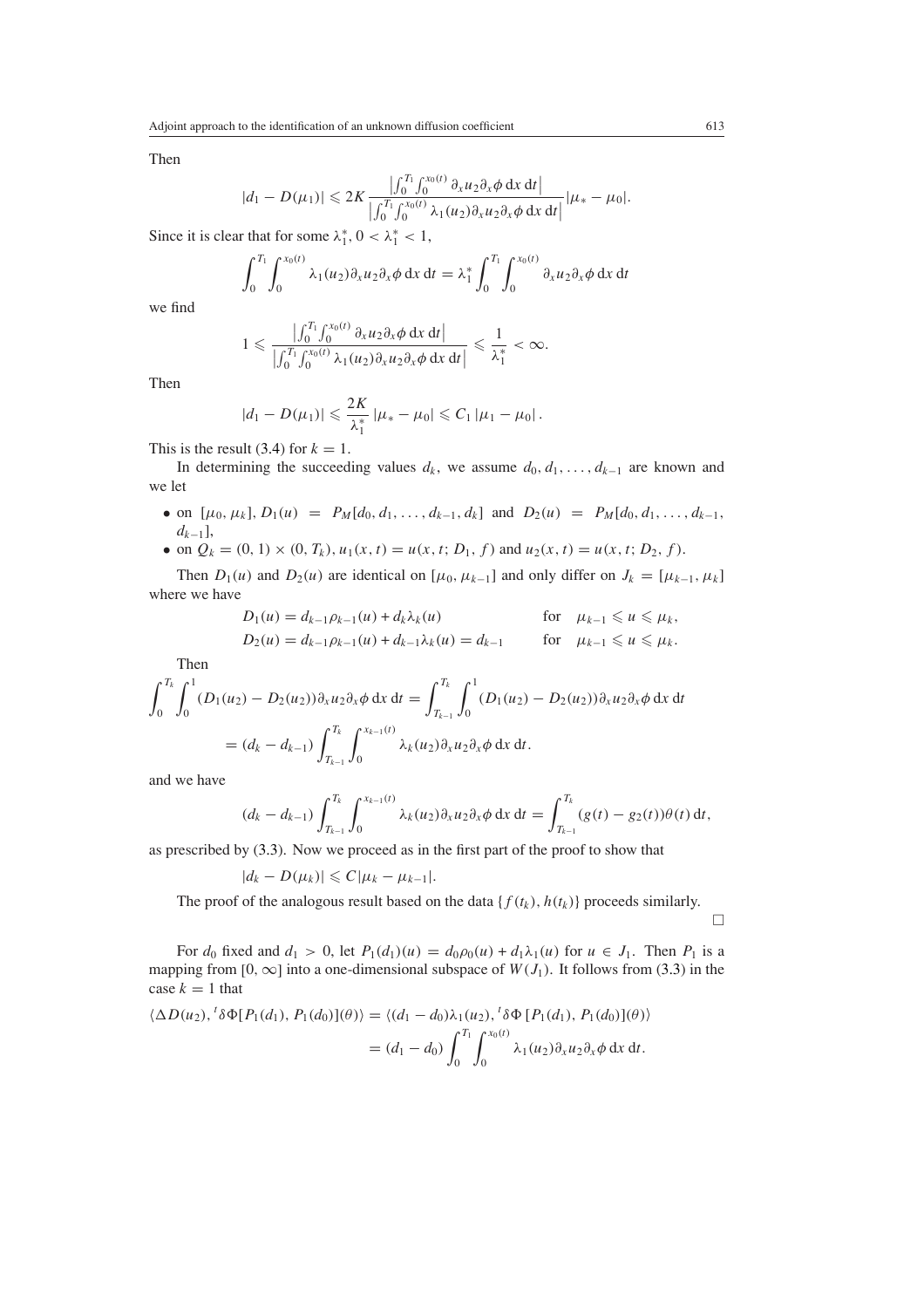Then

$$
|d_1-D(\mu_1)|\leqslant 2K\frac{\left|\int_0^{T_1}\int_0^{x_0(t)}\partial_xu_2\partial_x\phi\ dx\ dt\right|}{\left|\int_0^{T_1}\int_0^{x_0(t)}\lambda_1(u_2)\partial_xu_2\partial_x\phi\ dx\ dt\right|}|\mu_*-\mu_0|.
$$

Since it is clear that for some  $\lambda_1^*$ ,  $0 < \lambda_1^* < 1$ ,

$$
\int_0^{T_1} \int_0^{x_0(t)} \lambda_1(u_2) \partial_x u_2 \partial_x \phi \, dx \, dt = \lambda_1^* \int_0^{T_1} \int_0^{x_0(t)} \partial_x u_2 \partial_x \phi \, dx \, dt
$$

we find

$$
1 \leqslant \frac{\left|\int_0^{T_1} \int_0^{x_0(t)} \partial_x u_2 \partial_x \phi \, \mathrm{d}x \, \mathrm{d}t\right|}{\left|\int_0^{T_1} \int_0^{x_0(t)} \lambda_1(u_2) \partial_x u_2 \partial_x \phi \, \mathrm{d}x \, \mathrm{d}t\right|} \leqslant \frac{1}{\lambda_1^*} < \infty.
$$

Then

$$
|d_1 - D(\mu_1)| \leqslant \frac{2K}{\lambda_1^*} |\mu_* - \mu_0| \leqslant C_1 |\mu_1 - \mu_0|.
$$

This is the result [\(3.4\)](#page-9-2) for  $k = 1$ .

In determining the succeeding values  $d_k$ , we assume  $d_0, d_1, \ldots, d_{k-1}$  are known and we let

- on  $[\mu_0, \mu_k]$ ,  $D_1(u) = P_M[d_0, d_1, \ldots, d_{k-1}, d_k]$  and  $D_2(u) = P_M[d_0, d_1, \ldots, d_{k-1},$ *dk*−1],
- on  $Q_k = (0, 1) \times (0, T_k)$ ,  $u_1(x, t) = u(x, t; D_1, f)$  and  $u_2(x, t) = u(x, t; D_2, f)$ .

Then *D*<sub>1</sub>(*u*) and *D*<sub>2</sub>(*u*) are identical on [ $\mu_0$ ,  $\mu_{k-1}$ ] and only differ on  $J_k = [\mu_{k-1}, \mu_k]$ where we have

$$
D_1(u) = d_{k-1}\rho_{k-1}(u) + d_k\lambda_k(u) \qquad \text{for } \mu_{k-1} \leq u \leq \mu_k,
$$
  
\n
$$
D_2(u) = d_{k-1}\rho_{k-1}(u) + d_{k-1}\lambda_k(u) = d_{k-1} \qquad \text{for } \mu_{k-1} \leq u \leq \mu_k.
$$

Then

$$
\int_0^{T_k} \int_0^1 (D_1(u_2) - D_2(u_2)) \partial_x u_2 \partial_x \phi \, dx \, dt = \int_{T_{k-1}}^{T_k} \int_0^1 (D_1(u_2) - D_2(u_2)) \partial_x u_2 \partial_x \phi \, dx \, dt
$$

$$
= (d_k - d_{k-1}) \int_{T_{k-1}}^{T_k} \int_0^{x_{k-1}(t)} \lambda_k(u_2) \partial_x u_2 \partial_x \phi \, dx \, dt.
$$

and we have

$$
(d_k - d_{k-1}) \int_{T_{k-1}}^{T_k} \int_0^{x_{k-1}(t)} \lambda_k(u_2) \partial_x u_2 \partial_x \phi \, dx \, dt = \int_{T_{k-1}}^{T_k} (g(t) - g_2(t)) \theta(t) \, dt,
$$

as prescribed by [\(3.3\)](#page-9-0). Now we proceed as in the first part of the proof to show that

$$
|d_k-D(\mu_k)|\leqslant C|\mu_k-\mu_{k-1}|.
$$

The proof of the analogous result based on the data  $\{f(t_k), h(t_k)\}$  proceeds similarly.

 $\Box$ 

For *d*<sub>0</sub> fixed and *d*<sub>1</sub> > 0, let  $P_1(d_1)(u) = d_0 \rho_0(u) + d_1 \lambda_1(u)$  for  $u \in J_1$ . Then  $P_1$  is a mapping from  $[0, \infty]$  into a one-dimensional subspace of  $W(J_1)$ . It follows from [\(3.3\)](#page-9-0) in the case  $k = 1$  that

$$
\langle \Delta D(u_2), {}^t\delta \Phi[P_1(d_1), P_1(d_0)](\theta) \rangle = \langle (d_1 - d_0) \lambda_1(u_2), {}^t\delta \Phi[P_1(d_1), P_1(d_0)](\theta) \rangle
$$
  
=  $(d_1 - d_0) \int_0^{T_1} \int_0^{x_0(t)} \lambda_1(u_2) \partial_x u_2 \partial_x \phi \, dx \, dt.$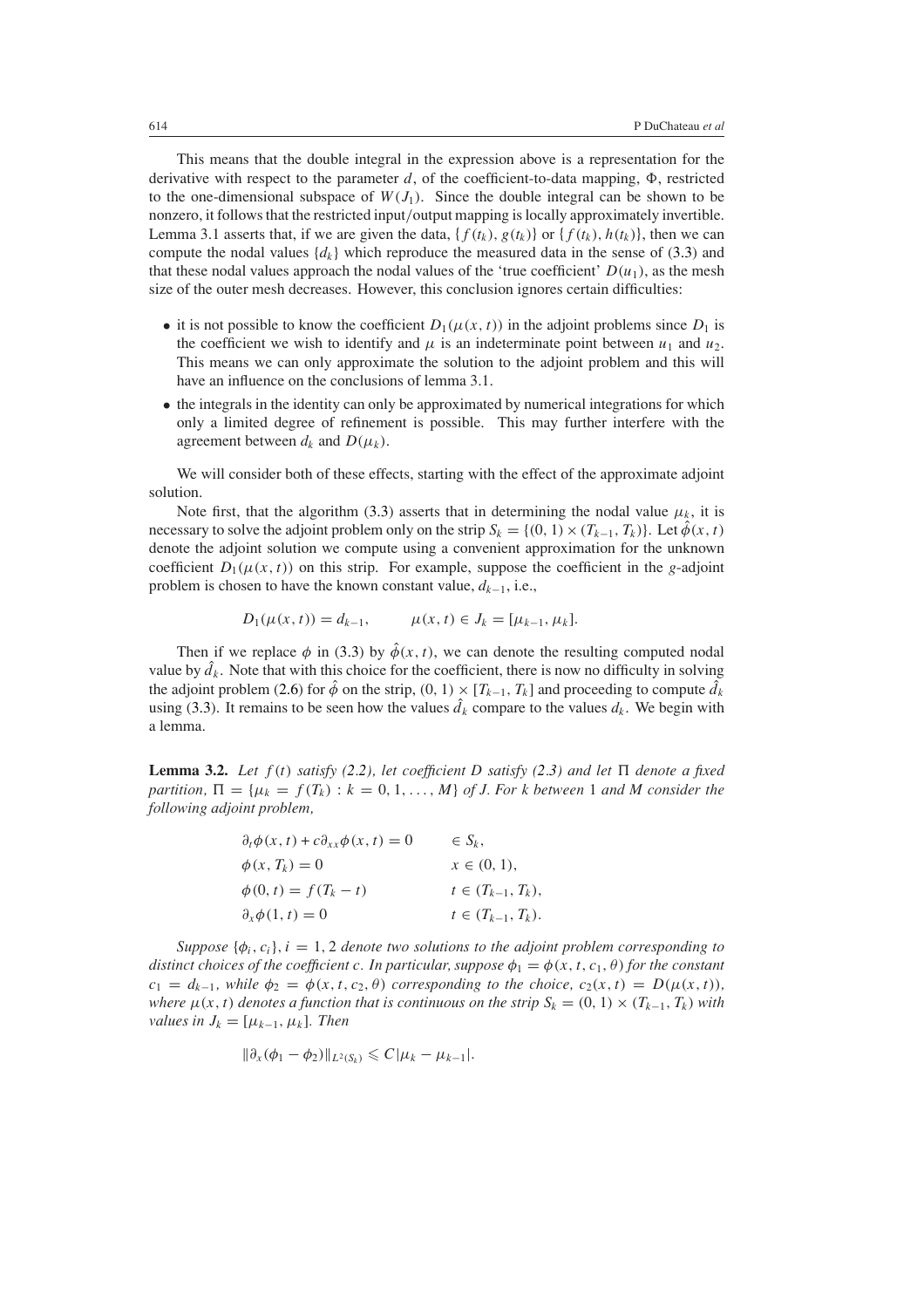This means that the double integral in the expression above is a representation for the derivative with respect to the parameter  $d$ , of the coefficient-to-data mapping,  $\Phi$ , restricted to the one-dimensional subspace of  $W(J_1)$ . Since the double integral can be shown to be nonzero, it follows that the restricted input*/*output mapping is locally approximately invertible. Lemma 3.1 asserts that, if we are given the data,  $\{f(t_k), g(t_k)\}$  or  $\{f(t_k), h(t_k)\}$ , then we can compute the nodal values  $\{d_k\}$  which reproduce the measured data in the sense of [\(3.3\)](#page-9-0) and that these nodal values approach the nodal values of the 'true coefficient'  $D(u_1)$ , as the mesh size of the outer mesh decreases. However, this conclusion ignores certain difficulties:

- it is not possible to know the coefficient  $D_1(\mu(x, t))$  in the adjoint problems since  $D_1$  is the coefficient we wish to identify and  $\mu$  is an indeterminate point between  $u_1$  and  $u_2$ . This means we can only approximate the solution to the adjoint problem and this will have an influence on the conclusions of lemma 3.1.
- the integrals in the identity can only be approximated by numerical integrations for which only a limited degree of refinement is possible. This may further interfere with the agreement between  $d_k$  and  $D(\mu_k)$ .

We will consider both of these effects, starting with the effect of the approximate adjoint solution.

Note first, that the algorithm [\(3.3\)](#page-9-0) asserts that in determining the nodal value  $\mu_k$ , it is necessary to solve the adjoint problem only on the strip  $S_k = \{(0, 1) \times (T_{k-1}, T_k)\}\)$ . Let  $\hat{\phi}(x, t)$ denote the adjoint solution we compute using a convenient approximation for the unknown coefficient  $D_1(\mu(x, t))$  on this strip. For example, suppose the coefficient in the *g*-adjoint problem is chosen to have the known constant value, *dk*−1, i.e.,

$$
D_1(\mu(x, t)) = d_{k-1}, \qquad \mu(x, t) \in J_k = [\mu_{k-1}, \mu_k].
$$

Then if we replace  $\phi$  in [\(3.3\)](#page-9-0) by  $\hat{\phi}(x, t)$ , we can denote the resulting computed nodal value by  $\hat{d}_k$ . Note that with this choice for the coefficient, there is now no difficulty in solving the adjoint problem [\(2.6\)](#page-5-1) for  $\hat{\phi}$  on the strip,  $(0, 1) \times [T_{k-1}, T_k]$  and proceeding to compute  $\hat{d}_k$ using [\(3.3\)](#page-9-0). It remains to be seen how the values  $\hat{d}_k$  compare to the values  $d_k$ . We begin with a lemma.

**Lemma 3.2.** *Let*  $f(t)$  *satisfy* [\(2.2\)](#page-1-0)*, let coefficient D satisfy* [\(2.3\)](#page-2-0) *and let*  $\Pi$  *denote a fixed partition,*  $\Pi = {\mu_k = f(T_k) : k = 0, 1, ..., M}$  *of J. For k between* 1 *and M consider the following adjoint problem,*

| $\partial_t \phi(x, t) + c \partial_{xx} \phi(x, t) = 0$ | $\in S_k$ ,              |
|----------------------------------------------------------|--------------------------|
| $\phi(x,T_k)=0$                                          | $x \in (0, 1),$          |
| $\phi(0, t) = f(T_k - t)$                                | $t \in (T_{k-1}, T_k),$  |
| $\partial_x \phi(1, t) = 0$                              | $t \in (T_{k-1}, T_k)$ . |

*Suppose*  $\{\phi_i, c_i\}$ ,  $i = 1, 2$  *denote two solutions to the adjoint problem corresponding to distinct choices of the coefficient c. In particular, suppose*  $\phi_1 = \phi(x, t, c_1, \theta)$  *for the constant*  $c_1 = d_{k-1}$ , while  $\phi_2 = \phi(x, t, c_2, \theta)$  corresponding to the choice,  $c_2(x, t) = D(\mu(x, t))$ , *where*  $\mu(x, t)$  *denotes a function that is continuous on the strip*  $S_k = (0, 1) \times (T_{k-1}, T_k)$  *with values in*  $J_k = [\mu_{k-1}, \mu_k]$ *. Then* 

$$
\|\partial_x(\phi_1-\phi_2)\|_{L^2(S_k)} \leq C|\mu_k-\mu_{k-1}|.
$$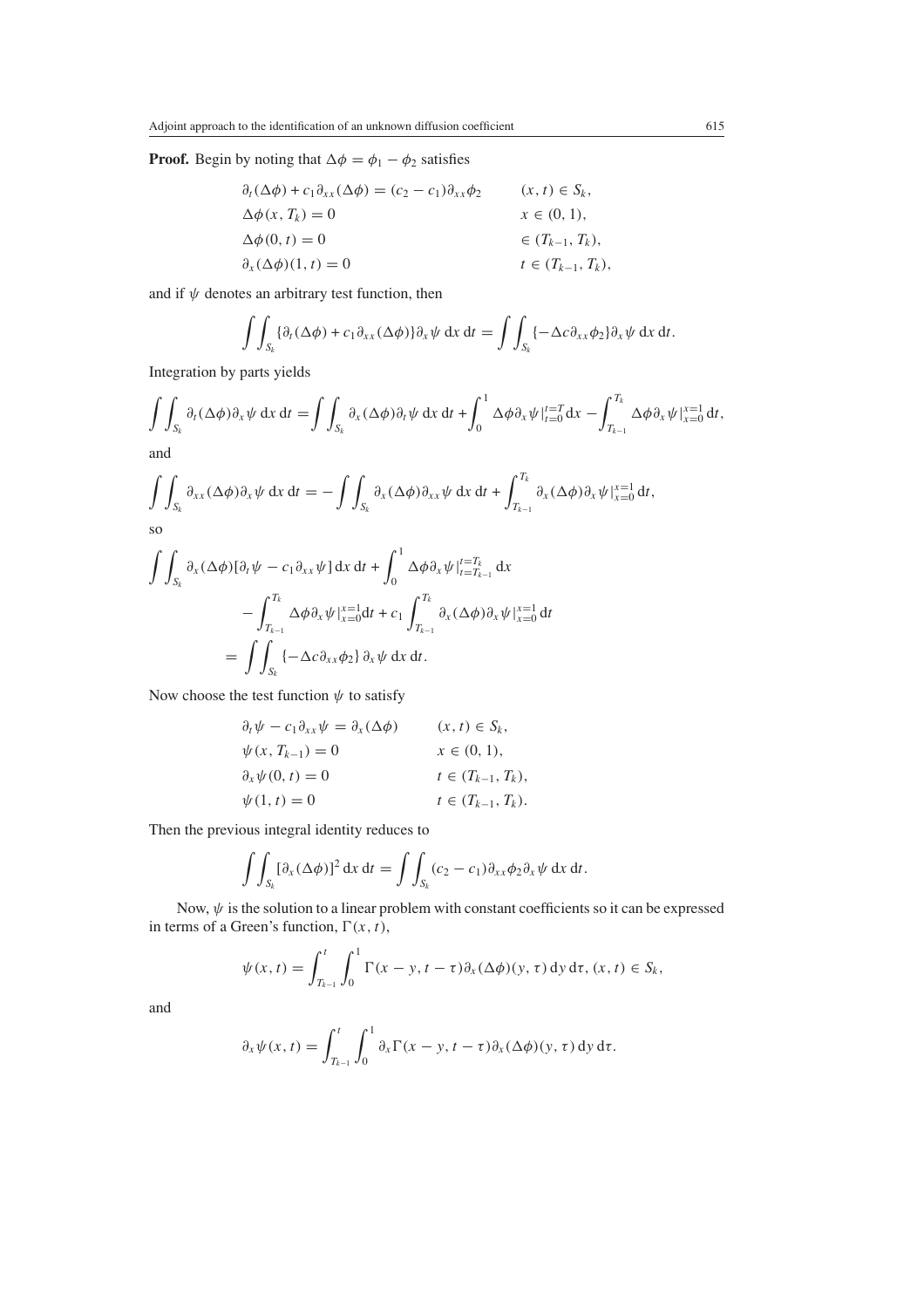**Proof.** Begin by noting that  $\Delta \phi = \phi_1 - \phi_2$  satisfies

$$
\partial_t(\Delta \phi) + c_1 \partial_{xx}(\Delta \phi) = (c_2 - c_1) \partial_{xx} \phi_2 \qquad (x, t) \in S_k,
$$
  
\n
$$
\Delta \phi(x, T_k) = 0 \qquad x \in (0, 1),
$$
  
\n
$$
\Delta \phi(0, t) = 0 \qquad \qquad \in (T_{k-1}, T_k),
$$
  
\n
$$
\partial_x(\Delta \phi)(1, t) = 0 \qquad t \in (T_{k-1}, T_k),
$$

and if  $\psi$  denotes an arbitrary test function, then

$$
\int\int_{S_k} \{\partial_t(\Delta\phi) + c_1\partial_{xx}(\Delta\phi)\}\partial_x\psi\,dx\,dt = \int\int_{S_k} \{-\Delta c\partial_{xx}\phi_2\}\partial_x\psi\,dx\,dt.
$$

Integration by parts yields

$$
\int\int_{S_k} \partial_t (\Delta \phi) \partial_x \psi \, dx \, dt = \int\int_{S_k} \partial_x (\Delta \phi) \partial_t \psi \, dx \, dt + \int_0^1 \Delta \phi \partial_x \psi \big|_{t=0}^{t=T} dx - \int_{T_{k-1}}^{T_k} \Delta \phi \partial_x \psi \big|_{x=0}^{x=1} dt,
$$

and

$$
\int\int_{S_k} \partial_{xx} (\Delta \phi) \partial_x \psi \, dx \, dt = - \int\int_{S_k} \partial_x (\Delta \phi) \partial_{xx} \psi \, dx \, dt + \int_{T_{k-1}}^{T_k} \partial_x (\Delta \phi) \partial_x \psi|_{x=0}^{x=1} \, dt,
$$
  
so

$$
\int\int_{S_k} \partial_x(\Delta\phi)[\partial_t \psi - c_1 \partial_{xx} \psi] dx dt + \int_0^1 \Delta\phi \partial_x \psi|_{t=T_{k-1}}^{t=T_k} dx
$$
  

$$
- \int_{T_{k-1}}^{T_k} \Delta\phi \partial_x \psi|_{x=0}^{x=1} dt + c_1 \int_{T_{k-1}}^{T_k} \partial_x(\Delta\phi) \partial_x \psi|_{x=0}^{x=1} dt
$$
  

$$
= \int\int_{S_k} \{-\Delta c \partial_{xx} \phi_2\} \partial_x \psi dx dt.
$$

Now choose the test function  $\psi$  to satisfy

$$
\partial_t \psi - c_1 \partial_{xx} \psi = \partial_x (\Delta \phi) \qquad (x, t) \in S_k,
$$
  
\n
$$
\psi(x, T_{k-1}) = 0 \qquad x \in (0, 1),
$$
  
\n
$$
\partial_x \psi(0, t) = 0 \qquad t \in (T_{k-1}, T_k),
$$
  
\n
$$
\psi(1, t) = 0 \qquad t \in (T_{k-1}, T_k).
$$

Then the previous integral identity reduces to

$$
\int\int_{S_k} [\partial_x(\Delta\phi)]^2 dx dt = \int\int_{S_k} (c_2 - c_1) \partial_{xx} \phi_2 \partial_x \psi dx dt.
$$

Now, *ψ* is the solution to a linear problem with constant coefficients so it can be expressed in terms of a Green's function,  $\Gamma(x, t)$ ,

$$
\psi(x,t) = \int_{T_{k-1}}^t \int_0^1 \Gamma(x-y,t-\tau) \partial_x(\Delta \phi)(y,\tau) \,dy \,d\tau, (x,t) \in S_k,
$$

and

$$
\partial_x \psi(x,t) = \int_{T_{k-1}}^t \int_0^1 \partial_x \Gamma(x-y,t-\tau) \partial_x(\Delta \phi)(y,\tau) \,dy\,d\tau.
$$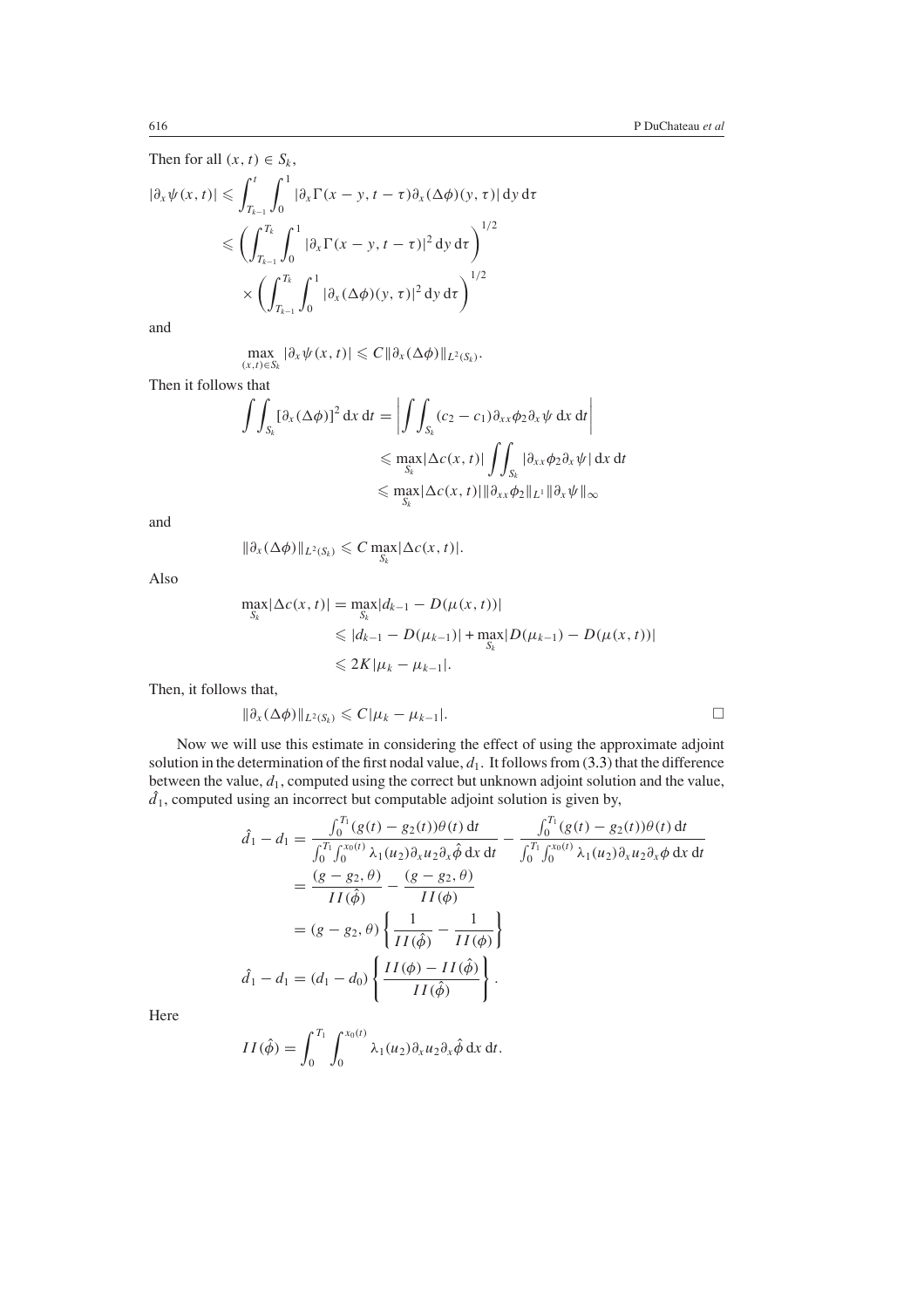$\Box$ 

Then for all  $(x, t) \in S_k$ ,

$$
|\partial_x \psi(x, t)| \leq \int_{T_{k-1}}^t \int_0^1 |\partial_x \Gamma(x - y, t - \tau) \partial_x(\Delta \phi)(y, \tau)| \, dy \, d\tau
$$
  

$$
\leq \left( \int_{T_{k-1}}^{T_k} \int_0^1 |\partial_x \Gamma(x - y, t - \tau)|^2 \, dy \, d\tau \right)^{1/2}
$$
  

$$
\times \left( \int_{T_{k-1}}^{T_k} \int_0^1 |\partial_x(\Delta \phi)(y, \tau)|^2 \, dy \, d\tau \right)^{1/2}
$$

and

$$
\max_{(x,t)\in S_k} |\partial_x \psi(x,t)| \leqslant C ||\partial_x(\Delta \phi)||_{L^2(S_k)}.
$$

Then it follows that

$$
\int \int_{S_k} [\partial_x (\Delta \phi)]^2 dx dt = \left| \int \int_{S_k} (c_2 - c_1) \partial_{xx} \phi_2 \partial_x \psi dx dt \right|
$$
  
\n
$$
\leq \max_{S_k} |\Delta c(x, t)| \int \int_{S_k} |\partial_{xx} \phi_2 \partial_x \psi| dx dt
$$
  
\n
$$
\leq \max_{S_k} |\Delta c(x, t)| ||\partial_{xx} \phi_2||_{L^1} ||\partial_x \psi||_{\infty}
$$

and

$$
\|\partial_x(\Delta\phi)\|_{L^2(S_k)}\leqslant C \max_{S_k} |\Delta c(x,t)|.
$$

Also

$$
\max_{S_k} |\Delta c(x, t)| = \max_{S_k} |d_{k-1} - D(\mu(x, t))|
$$
  
\$\leq |d\_{k-1} - D(\mu\_{k-1})| + \max\_{S\_k} |D(\mu\_{k-1}) - D(\mu(x, t))|\$  
\$\leq 2K|\mu\_k - \mu\_{k-1}|\$.

Then, it follows that,

$$
\|\partial_x(\Delta\phi)\|_{L^2(S_k)} \leqslant C|\mu_k - \mu_{k-1}|.
$$

Now we will use this estimate in considering the effect of using the approximate adjoint solution in the determination of the first nodal value,  $d_1$ . It follows from [\(3.3\)](#page-9-0) that the difference between the value, *d*1, computed using the correct but unknown adjoint solution and the value,  $\hat{d}_1$ , computed using an incorrect but computable adjoint solution is given by,

$$
\hat{d}_1 - d_1 = \frac{\int_0^{T_1} (g(t) - g_2(t))\theta(t) dt}{\int_0^{T_1} \int_0^{x_0(t)} \lambda_1(u_2) \partial_x u_2 \partial_x \hat{\phi} dx dt} - \frac{\int_0^{T_1} (g(t) - g_2(t))\theta(t) dt}{\int_0^{T_1} \int_0^{x_0(t)} \lambda_1(u_2) \partial_x u_2 \partial_x \phi dx dt}
$$

$$
= \frac{(g - g_2, \theta)}{II(\hat{\phi})} - \frac{(g - g_2, \theta)}{II(\hat{\phi})}
$$

$$
= (g - g_2, \theta) \left\{ \frac{1}{II(\hat{\phi})} - \frac{1}{II(\phi)} \right\}
$$

$$
\hat{d}_1 - d_1 = (d_1 - d_0) \left\{ \frac{II(\phi) - II(\hat{\phi})}{II(\hat{\phi})} \right\}.
$$

Here

$$
II(\hat{\phi}) = \int_0^{T_1} \int_0^{x_0(t)} \lambda_1(u_2) \partial_x u_2 \partial_x \hat{\phi} \, dx \, dt.
$$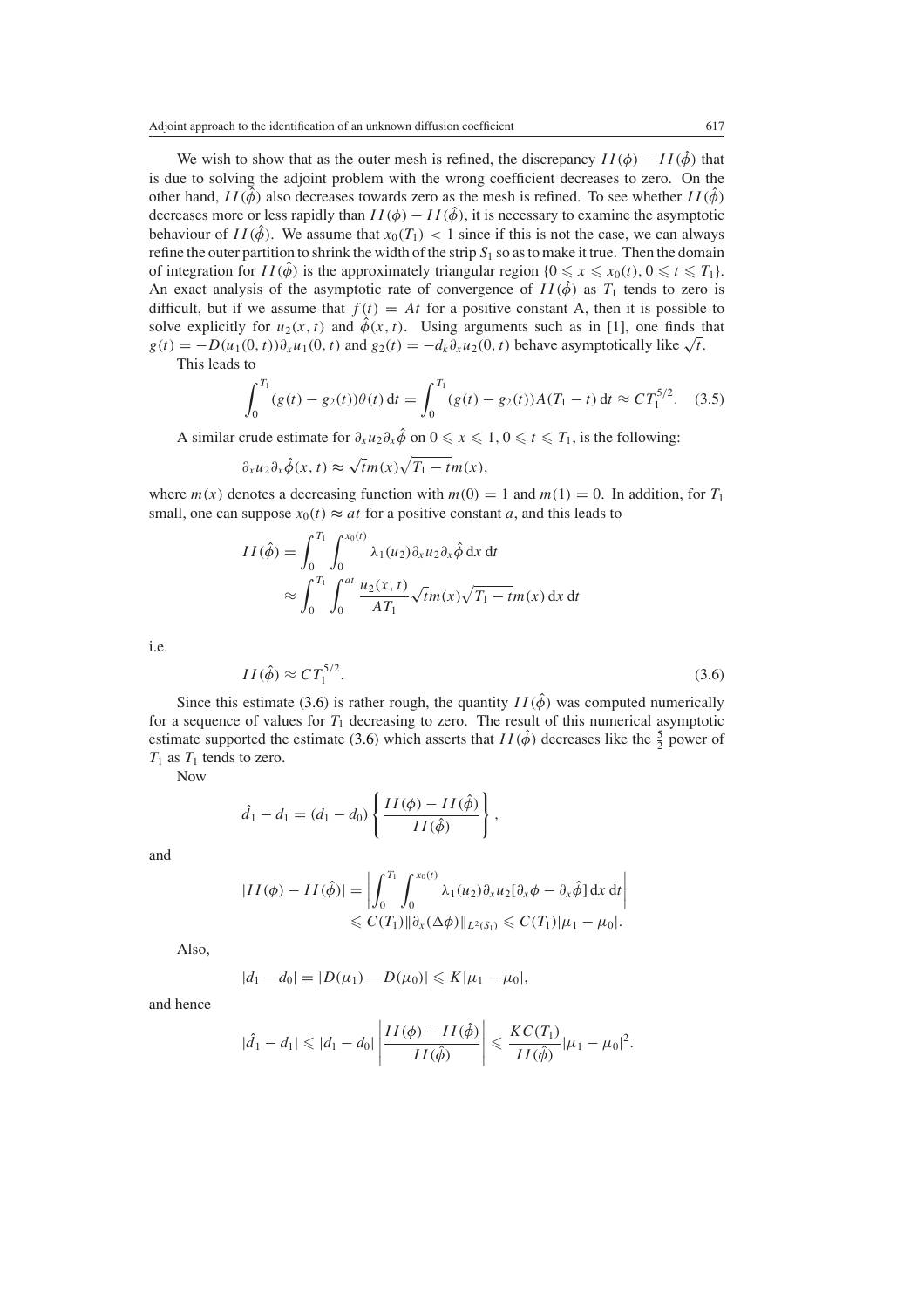We wish to show that as the outer mesh is refined, the discrepancy  $II(\phi) - II(\hat{\phi})$  that is due to solving the adjoint problem with the wrong coefficient decreases to zero. On the other hand,  $II(\hat{\phi})$  also decreases towards zero as the mesh is refined. To see whether  $II(\hat{\phi})$ decreases more or less rapidly than  $II(\phi) - II(\hat{\phi})$ , it is necessary to examine the asymptotic behaviour of  $II(\hat{\phi})$ . We assume that  $x_0(T_1) < 1$  since if this is not the case, we can always refine the outer partition to shrink the width of the strip  $S_1$  so as to make it true. Then the domain of integration for  $II(\hat{\phi})$  is the approximately triangular region  $\{0 \le x \le x_0(t), 0 \le t \le T_1\}.$ An exact analysis of the asymptotic rate of convergence of  $II(\hat{\phi})$  as  $T_1$  tends to zero is difficult, but if we assume that  $f(t) = At$  for a positive constant A, then it is possible to solve explicitly for  $u_2(x, t)$  and  $\hat{\phi}(x, t)$ . Using arguments such as in [1], one finds that  $g(t) = -D(u_1(0, t))\partial_x u_1(0, t)$  and  $g_2(t) = -d_k\partial_x u_2(0, t)$  behave asymptotically like  $\sqrt{t}$ .

<span id="page-16-1"></span>This leads to

$$
\int_0^{T_1} (g(t) - g_2(t)) \theta(t) dt = \int_0^{T_1} (g(t) - g_2(t)) A(T_1 - t) dt \approx C T_1^{5/2}.
$$
 (3.5)

A similar crude estimate for  $\partial_x u_2 \partial_x \hat{\phi}$  on  $0 \le x \le 1$ ,  $0 \le t \le T_1$ , is the following:

$$
\partial_x u_2 \partial_x \hat{\phi}(x, t) \approx \sqrt{t} m(x) \sqrt{T_1 - t} m(x),
$$

where  $m(x)$  denotes a decreasing function with  $m(0) = 1$  and  $m(1) = 0$ . In addition, for  $T_1$ small, one can suppose  $x_0(t) \approx at$  for a positive constant *a*, and this leads to

$$
II(\hat{\phi}) = \int_0^{T_1} \int_0^{x_0(t)} \lambda_1(u_2) \partial_x u_2 \partial_x \hat{\phi} dx dt
$$
  
 
$$
\approx \int_0^{T_1} \int_0^{at} \frac{u_2(x, t)}{AT_1} \sqrt{t} m(x) \sqrt{T_1 - t} m(x) dx dt
$$

<span id="page-16-0"></span>i.e.

$$
II(\hat{\phi}) \approx C T_1^{5/2}.
$$

Since this estimate [\(3.6\)](#page-16-0) is rather rough, the quantity  $II(\hat{\phi})$  was computed numerically for a sequence of values for  $T_1$  decreasing to zero. The result of this numerical asymptotic estimate supported the estimate [\(3.6\)](#page-16-0) which asserts that  $II(\hat{\phi})$  decreases like the  $\frac{5}{2}$  power of  $T_1$  as  $T_1$  tends to zero.

Now

$$
\hat{d}_1 - d_1 = (d_1 - d_0) \left\{ \frac{II(\phi) - II(\hat{\phi})}{II(\hat{\phi})} \right\},\,
$$

and

$$
|II(\phi) - II(\hat{\phi})| = \left| \int_0^{T_1} \int_0^{x_0(t)} \lambda_1(u_2) \partial_x u_2[\partial_x \phi - \partial_x \hat{\phi}] dx dt \right|
$$
  
\$\leqslant C(T\_1) || \partial\_x(\Delta \phi) ||\_{L^2(S\_1)} \leqslant C(T\_1) || \mu\_1 - \mu\_0|.

Also,

$$
|d_1-d_0|=|D(\mu_1)-D(\mu_0)|\leqslant K|\mu_1-\mu_0|,
$$

and hence

$$
|\hat{d}_1 - d_1| \le |d_1 - d_0| \left| \frac{II(\phi) - II(\hat{\phi})}{II(\hat{\phi})} \right| \le \frac{KC(T_1)}{II(\hat{\phi})} |\mu_1 - \mu_0|^2.
$$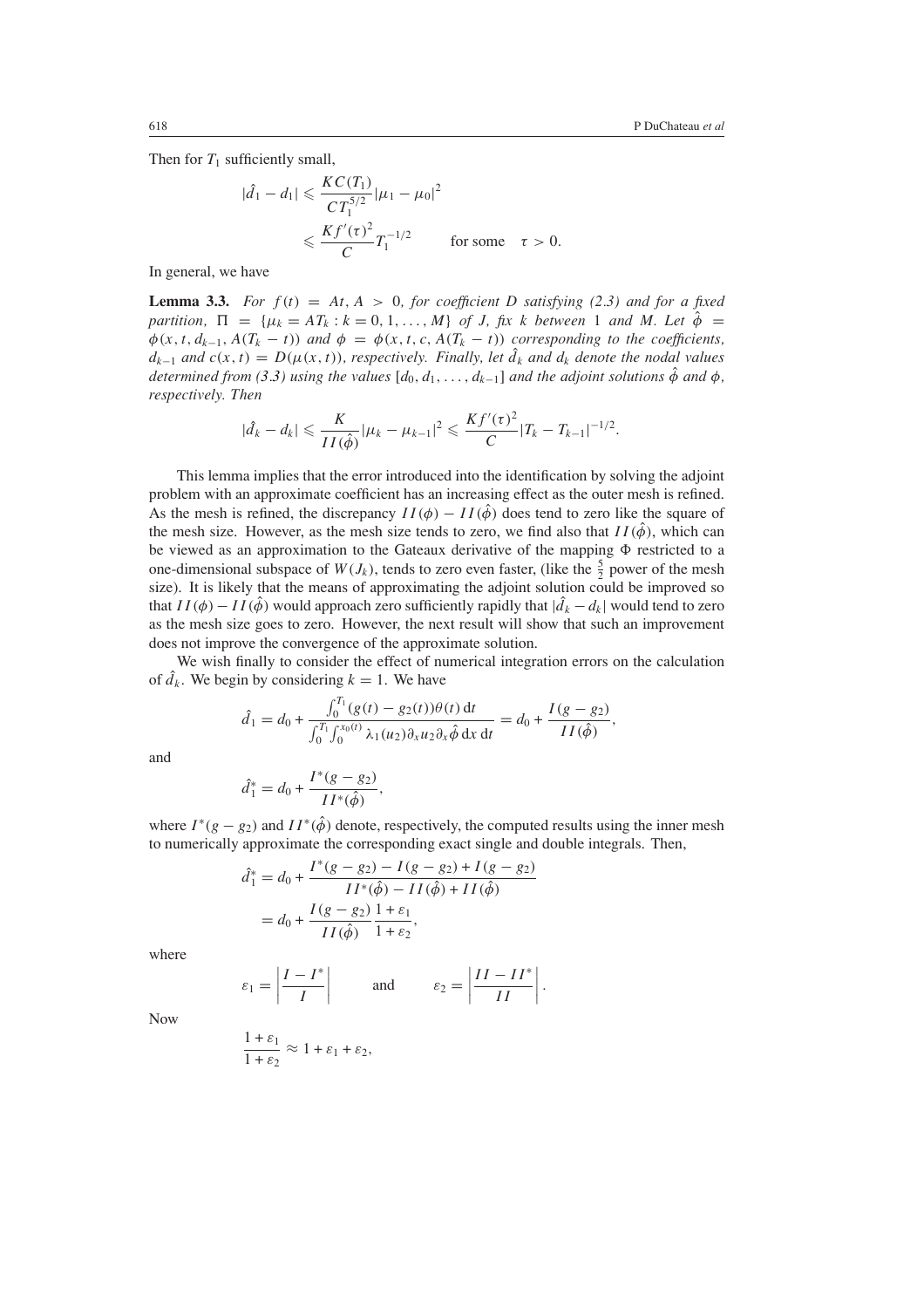Then for  $T_1$  sufficiently small,

$$
|\hat{d}_1 - d_1| \leq \frac{KC(T_1)}{CT_1^{5/2}} |\mu_1 - \mu_0|^2
$$
  
 
$$
\leq \frac{Kf'(\tau)^2}{C} T_1^{-1/2} \qquad \text{for some} \quad \tau > 0.
$$

In general, we have

**Lemma 3.3.** For  $f(t) = At, A > 0$ , for coefficient D satisfying (2.3) and for a fixed *partition,*  $\Pi = {\mu_k = AT_k : k = 0, 1, ..., M}$  *of J, fix k between* 1 *and M. Let*  $\hat{\phi}$  $\phi(x, t, d_{k-1}, A(T_k - t))$  and  $\phi = \phi(x, t, c, A(T_k - t))$  corresponding to the coefficients,  $d_{k-1}$  *and*  $c(x, t) = D(\mu(x, t))$ *, respectively. Finally, let*  $\hat{d}_k$  *and*  $d_k$  *denote the nodal values determined from [\(3.3\)](#page-9-0) using the values*  $[d_0, d_1, \ldots, d_{k-1}]$  *and the adjoint solutions*  $\hat{\phi}$  *and*  $\phi$ *, respectively. Then*

$$
|\hat{d}_k - d_k| \leqslant \frac{K}{II(\hat{\phi})} |\mu_k - \mu_{k-1}|^2 \leqslant \frac{Kf'(\tau)^2}{C} |T_k - T_{k-1}|^{-1/2}.
$$

This lemma implies that the error introduced into the identification by solving the adjoint problem with an approximate coefficient has an increasing effect as the outer mesh is refined. As the mesh is refined, the discrepancy  $II(\phi) - II(\hat{\phi})$  does tend to zero like the square of the mesh size. However, as the mesh size tends to zero, we find also that  $II(\hat{\phi})$ , which can be viewed as an approximation to the Gateaux derivative of the mapping  $\Phi$  restricted to a one-dimensional subspace of  $W(J_k)$ , tends to zero even faster, (like the  $\frac{5}{2}$  power of the mesh size). It is likely that the means of approximating the adjoint solution could be improved so that  $II(\phi) - II(\hat{\phi})$  would approach zero sufficiently rapidly that  $|\hat{d}_k - d_k|$  would tend to zero as the mesh size goes to zero. However, the next result will show that such an improvement does not improve the convergence of the approximate solution.

We wish finally to consider the effect of numerical integration errors on the calculation of  $\hat{d}_k$ . We begin by considering  $k = 1$ . We have

$$
\hat{d}_1 = d_0 + \frac{\int_0^{T_1} (g(t) - g_2(t))\theta(t) dt}{\int_0^{T_1} \int_0^{x_0(t)} \lambda_1(u_2) \partial_x u_2 \partial_x \hat{\phi} dx dt} = d_0 + \frac{I(g - g_2)}{II(\hat{\phi})},
$$

and

$$
\hat{d}_1^* = d_0 + \frac{I^*(g - g_2)}{II^*(\hat{\phi})},
$$

where  $I^*(g - g_2)$  and  $II^*(\hat{\phi})$  denote, respectively, the computed results using the inner mesh to numerically approximate the corresponding exact single and double integrals. Then,

$$
\hat{d}_{1}^{*} = d_{0} + \frac{I^{*}(g - g_{2}) - I(g - g_{2}) + I(g - g_{2})}{II^{*}(\hat{\phi}) - II(\hat{\phi}) + II(\hat{\phi})}
$$

$$
= d_{0} + \frac{I(g - g_{2})}{II(\hat{\phi})} \frac{1 + \varepsilon_{1}}{1 + \varepsilon_{2}},
$$

where

$$
\varepsilon_1 = \left| \frac{I - I^*}{I} \right|
$$
 and  $\varepsilon_2 = \left| \frac{II - II^*}{II} \right|$ .

Now

$$
\frac{1+\varepsilon_1}{1+\varepsilon_2} \approx 1+\varepsilon_1+\varepsilon_2,
$$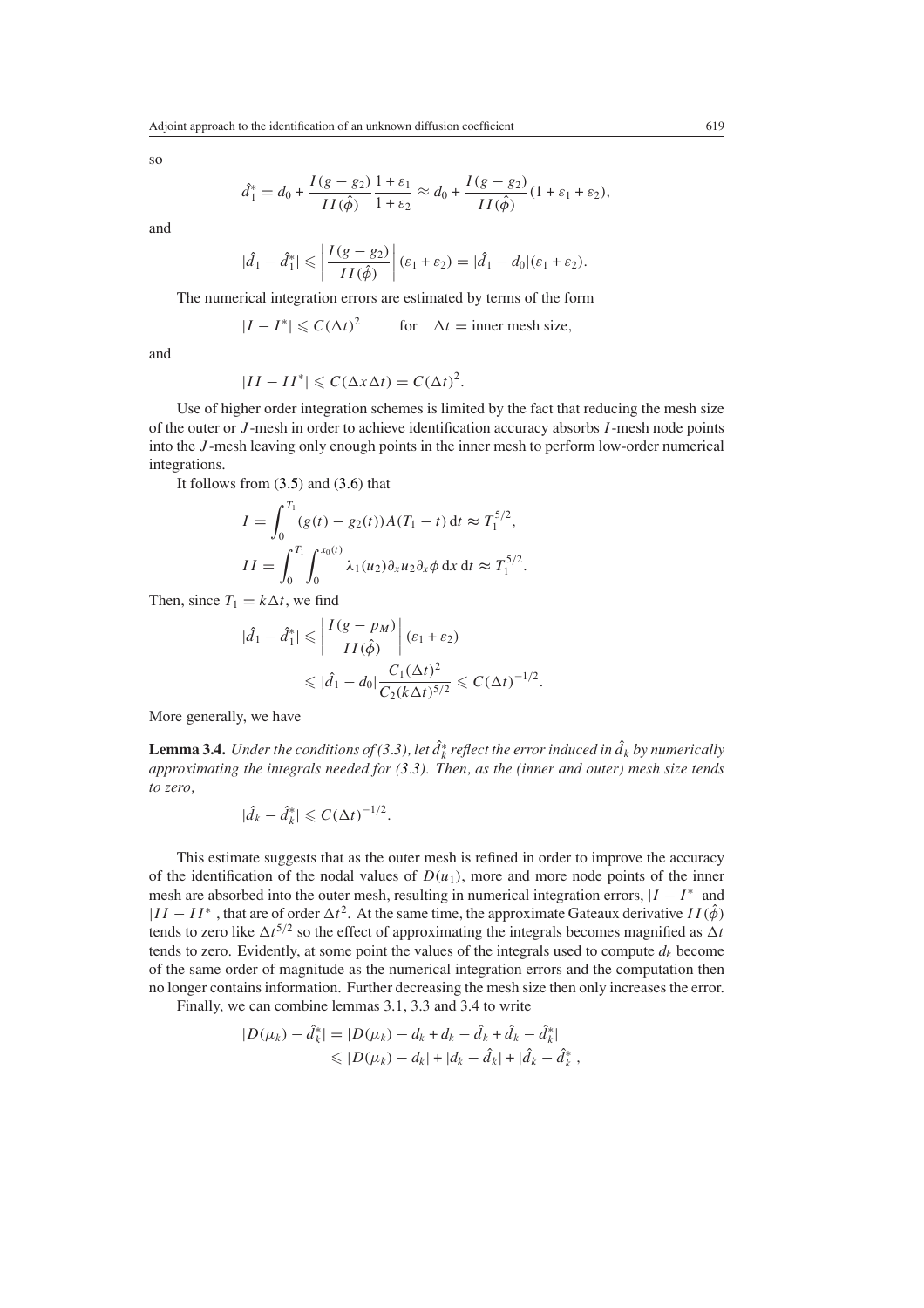so

$$
\hat{d}_{1}^{*} = d_{0} + \frac{I(g - g_{2})}{II(\hat{\phi})} \frac{1 + \varepsilon_{1}}{1 + \varepsilon_{2}} \approx d_{0} + \frac{I(g - g_{2})}{II(\hat{\phi})} (1 + \varepsilon_{1} + \varepsilon_{2}),
$$

and

$$
|\hat{d}_1-\hat{d}_1^*| \leqslant \left|\frac{I(g-g_2)}{II(\hat{\phi})}\right|(\varepsilon_1+\varepsilon_2)=|\hat{d}_1-d_0|(\varepsilon_1+\varepsilon_2).
$$

The numerical integration errors are estimated by terms of the form

$$
|I - I^*| \leqslant C(\Delta t)^2 \qquad \text{for} \quad \Delta t = \text{inner mesh size},
$$

and

$$
|II - II^*| \leqslant C(\Delta x \Delta t) = C(\Delta t)^2.
$$

Use of higher order integration schemes is limited by the fact that reducing the mesh size of the outer or *J* -mesh in order to achieve identification accuracy absorbs *I* -mesh node points into the *J* -mesh leaving only enough points in the inner mesh to perform low-order numerical integrations.

It follows from  $(3.5)$  and  $(3.6)$  that

$$
I = \int_0^{T_1} (g(t) - g_2(t))A(T_1 - t) dt \approx T_1^{5/2},
$$
  
\n
$$
II = \int_0^{T_1} \int_0^{x_0(t)} \lambda_1(u_2) \partial_x u_2 \partial_x \phi dx dt \approx T_1^{5/2}.
$$

Then, since  $T_1 = k\Delta t$ , we find

$$
|\hat{d}_1 - \hat{d}_1^*| \leq \left| \frac{I(g - p_M)}{II(\hat{\phi})} \right| (\varepsilon_1 + \varepsilon_2)
$$
  
\$\leqslant |\hat{d}\_1 - d\_0| \frac{C\_1(\Delta t)^2}{C\_2(k\Delta t)^{5/2}} \leqslant C(\Delta t)^{-1/2}\$.

More generally, we have

**Lemma 3.4.** Under the conditions of (3.3), let  $\hat{d}_k^*$  reflect the error induced in  $\hat{d}_k$  by numerically *approximating the integrals needed for [\(3.3\)](#page-9-0). Then, as the (inner and outer) mesh size tends to zero,*

$$
|\hat{d}_k - \hat{d}_k^*| \leqslant C(\Delta t)^{-1/2}.
$$

This estimate suggests that as the outer mesh is refined in order to improve the accuracy of the identification of the nodal values of  $D(u_1)$ , more and more node points of the inner mesh are absorbed into the outer mesh, resulting in numerical integration errors,  $|I - I^*|$  and  $|II - II^*|$ , that are of order  $\Delta t^2$ . At the same time, the approximate Gateaux derivative  $II(\hat{\phi})$ tends to zero like  $\Delta t^{5/2}$  so the effect of approximating the integrals becomes magnified as  $\Delta t$ tends to zero. Evidently, at some point the values of the integrals used to compute  $d_k$  become of the same order of magnitude as the numerical integration errors and the computation then no longer contains information. Further decreasing the mesh size then only increases the error.

Finally, we can combine lemmas 3.1, 3.3 and 3.4 to write

$$
|D(\mu_k) - \hat{d}_k^*| = |D(\mu_k) - d_k + d_k - \hat{d}_k + \hat{d}_k - \hat{d}_k^*|
$$
  
\$\leqslant |D(\mu\_k) - d\_k| + |d\_k - \hat{d}\_k| + |\hat{d}\_k - \hat{d}\_k^\*|\$,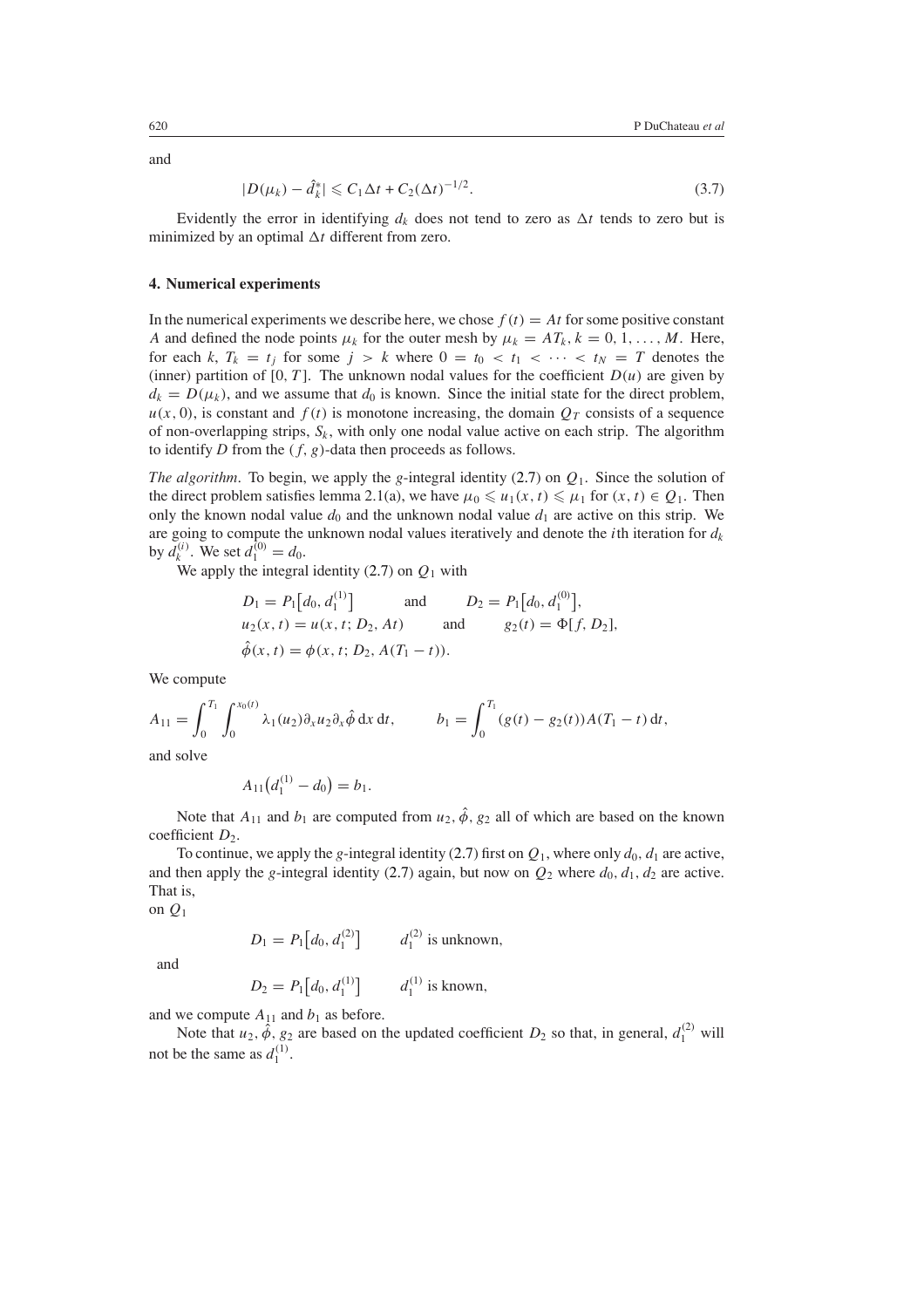<span id="page-19-0"></span>and

$$
|D(\mu_k) - \hat{d}_k^*| \leq C_1 \Delta t + C_2 (\Delta t)^{-1/2}.
$$
 (3.7)

Evidently the error in identifying  $d_k$  does not tend to zero as  $\Delta t$  tends to zero but is minimized by an optimal  $\Delta t$  different from zero.

## **4. Numerical experiments**

In the numerical experiments we describe here, we chose  $f(t) = At$  for some positive constant *A* and defined the node points  $\mu_k$  for the outer mesh by  $\mu_k = AT_k$ ,  $k = 0, 1, \ldots, M$ . Here, for each *k*,  $T_k = t_j$  for some  $j > k$  where  $0 = t_0 < t_1 < \cdots < t_N = T$  denotes the (inner) partition of  $[0, T]$ . The unknown nodal values for the coefficient  $D(u)$  are given by  $d_k = D(\mu_k)$ , and we assume that  $d_0$  is known. Since the initial state for the direct problem,  $u(x, 0)$ , is constant and  $f(t)$  is monotone increasing, the domain  $Q_T$  consists of a sequence of non-overlapping strips, *Sk*, with only one nodal value active on each strip. The algorithm to identify *D* from the *(f, g)*-data then proceeds as follows.

*The algorithm*. To begin, we apply the *g*-integral identity [\(2.7\)](#page-5-2) on *Q*1. Since the solution of the direct problem satisfies lemma 2.1(a), we have  $\mu_0 \leq u_1(x, t) \leq \mu_1$  for  $(x, t) \in Q_1$ . Then only the known nodal value  $d_0$  and the unknown nodal value  $d_1$  are active on this strip. We are going to compute the unknown nodal values iteratively and denote the *i*th iteration for *dk* by  $\tilde{d}_k^{(i)}$ . We set  $d_1^{(0)} = d_0$ .

We apply the integral identity  $(2.7)$  on  $Q_1$  with

$$
D_1 = P_1[d_0, d_1^{(1)}] \quad \text{and} \quad D_2 = P_1[d_0, d_1^{(0)}],
$$
  
\n
$$
u_2(x, t) = u(x, t; D_2, At) \quad \text{and} \quad g_2(t) = \Phi[f, D_2],
$$
  
\n
$$
\hat{\phi}(x, t) = \phi(x, t; D_2, A(T_1 - t)).
$$

We compute

$$
A_{11} = \int_0^{T_1} \int_0^{x_0(t)} \lambda_1(u_2) \partial_x u_2 \partial_x \hat{\phi} \, dx \, dt, \qquad b_1 = \int_0^{T_1} (g(t) - g_2(t)) A(T_1 - t) \, dt,
$$

and solve

$$
A_{11}(d_1^{(1)}-d_0)=b_1.
$$

Note that  $A_{11}$  and  $b_1$  are computed from  $u_2$ ,  $\hat{\phi}$ ,  $g_2$  all of which are based on the known coefficient *D*<sub>2</sub>.

To continue, we apply the *g*-integral identity [\(2.7\)](#page-5-2) first on  $Q_1$ , where only  $d_0$ ,  $d_1$  are active, and then apply the *g*-integral identity [\(2.7\)](#page-5-2) again, but now on  $Q_2$  where  $d_0, d_1, d_2$  are active. That is,

on *Q*<sup>1</sup>

$$
D_1 = P_1[d_0, d_1^{(2)}]
$$
  $d_1^{(2)}$  is unknown,

and

$$
D_2 = P_1 \big[ d_0, d_1^{(1)} \big] \qquad d_1^{(1)} \text{ is known,}
$$

and we compute  $A_{11}$  and  $b_1$  as before.

Note that  $u_2$ ,  $\hat{\phi}$ ,  $g_2$  are based on the updated coefficient  $D_2$  so that, in general,  $d_1^{(2)}$  will not be the same as  $d_1^{(1)}$ .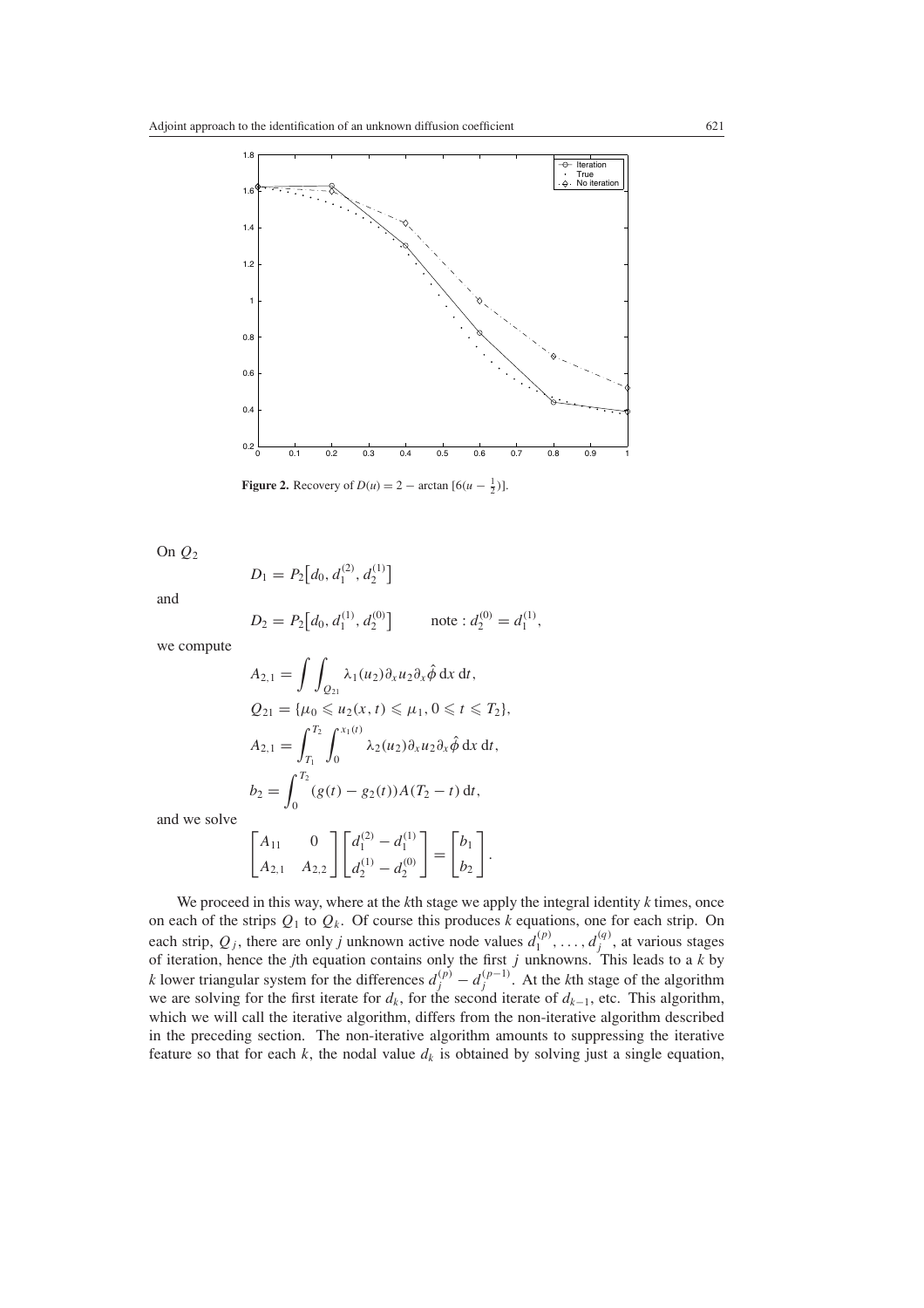

**Figure 2.** Recovery of  $D(u) = 2 - \arctan [6(u - \frac{1}{2})].$ 

<span id="page-20-0"></span>On *Q*<sup>2</sup>

$$
D_1 = P_2\big[d_0, d_1^{(2)}, d_2^{(1)}\big]
$$

and

$$
D_2 = P_2\big[d_0, d_1^{(1)}, d_2^{(0)}\big] \qquad \text{note} : d_2^{(0)} = d_1^{(1)},
$$

we compute

$$
A_{2,1} = \int \int_{Q_{21}} \lambda_1(u_2) \partial_x u_2 \partial_x \hat{\phi} \, dx \, dt,
$$
  
\n
$$
Q_{21} = \{ \mu_0 \le u_2(x, t) \le \mu_1, 0 \le t \le T_2 \},
$$
  
\n
$$
A_{2,1} = \int_{T_1}^{T_2} \int_0^{x_1(t)} \lambda_2(u_2) \partial_x u_2 \partial_x \hat{\phi} \, dx \, dt,
$$
  
\n
$$
b_2 = \int_0^{T_2} (g(t) - g_2(t)) A(T_2 - t) \, dt,
$$

and we solve

 $\overline{p}$ 

$$
\begin{bmatrix} A_{11} & 0 \\ A_{2,1} & A_{2,2} \end{bmatrix} \begin{bmatrix} d_1^{(2)} - d_1^{(1)} \\ d_2^{(1)} - d_2^{(0)} \end{bmatrix} = \begin{bmatrix} b_1 \\ b_2 \end{bmatrix}.
$$

We proceed in this way, where at the *k*th stage we apply the integral identity *k* times, once on each of the strips  $Q_1$  to  $Q_k$ . Of course this produces  $k$  equations, one for each strip. On each strip,  $Q_j$ , there are only *j* unknown active node values  $d_1^{(p)}, \ldots, d_j^{(q)}$ , at various stages of iteration, hence the *j*th equation contains only the first *j* unknowns. This leads to a *k* by *k* lower triangular system for the differences  $d_j^{(p)} - d_j^{(p-1)}$ . At the *k*th stage of the algorithm we are solving for the first iterate for *dk*, for the second iterate of *dk*−1, etc. This algorithm, which we will call the iterative algorithm, differs from the non-iterative algorithm described in the preceding section. The non-iterative algorithm amounts to suppressing the iterative feature so that for each  $k$ , the nodal value  $d_k$  is obtained by solving just a single equation,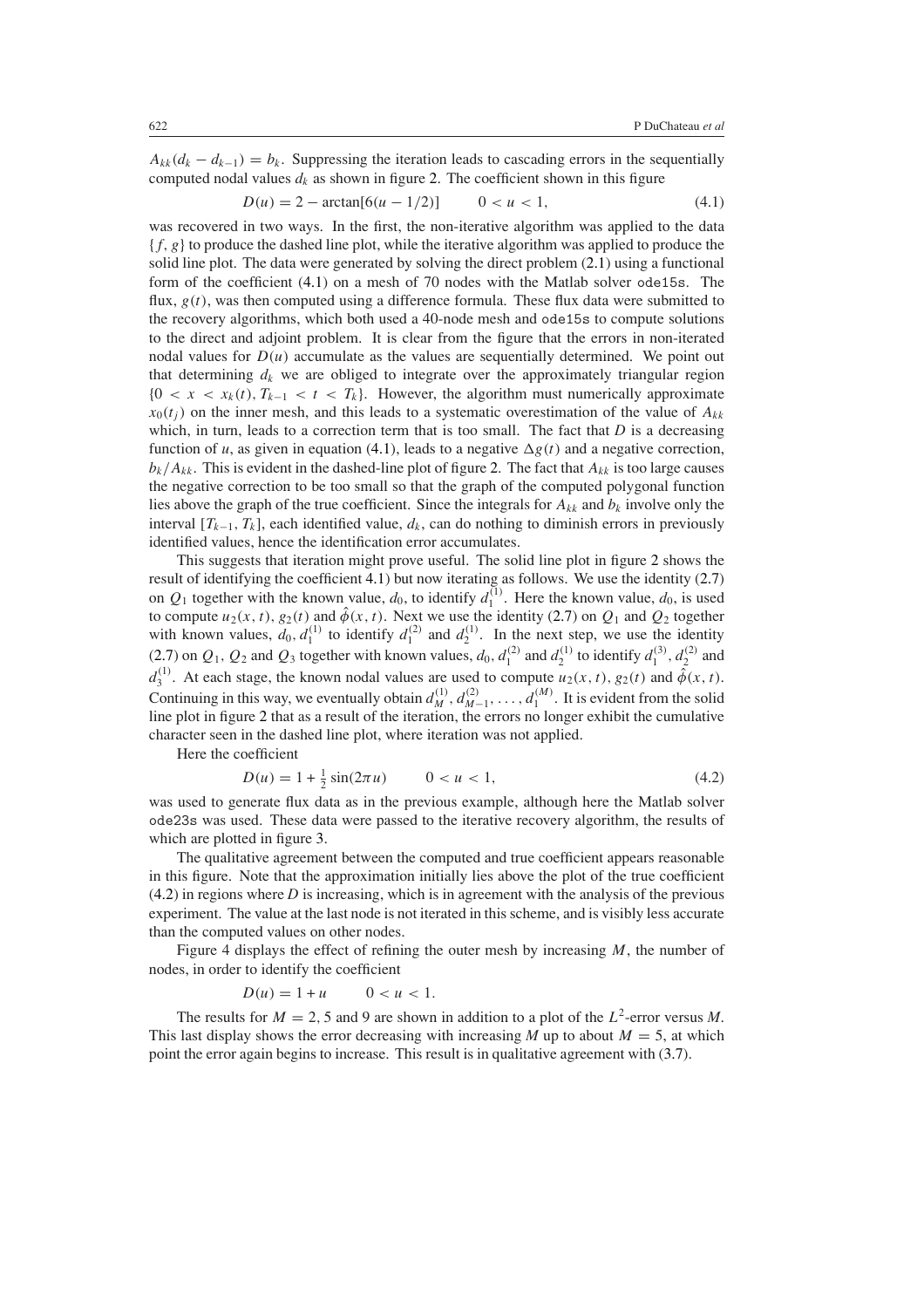<span id="page-21-0"></span> $A_{kk}(d_k - d_{k-1}) = b_k$ . Suppressing the iteration leads to cascading errors in the sequentially computed nodal values  $d_k$  as shown in figure [2.](#page-20-0) The coefficient shown in this figure

$$
D(u) = 2 - \arctan[6(u - 1/2)] \qquad 0 < u < 1,\tag{4.1}
$$

was recovered in two ways. In the first, the non-iterative algorithm was applied to the data  ${f, g}$  to produce the dashed line plot, while the iterative algorithm was applied to produce the solid line plot. The data were generated by solving the direct problem [\(2.1\)](#page-1-1) using a functional form of the coefficient [\(4.1\)](#page-21-0) on a mesh of 70 nodes with the Matlab solver ode15s. The flux,  $g(t)$ , was then computed using a difference formula. These flux data were submitted to the recovery algorithms, which both used a 40-node mesh and ode15s to compute solutions to the direct and adjoint problem. It is clear from the figure that the errors in non-iterated nodal values for  $D(u)$  accumulate as the values are sequentially determined. We point out that determining  $d_k$  we are obliged to integrate over the approximately triangular region  ${0 < x < x_k(t), T_{k-1} < t < T_k}$ . However, the algorithm must numerically approximate  $x_0(t_i)$  on the inner mesh, and this leads to a systematic overestimation of the value of  $A_{kk}$ which, in turn, leads to a correction term that is too small. The fact that  $D$  is a decreasing function of *u*, as given in equation [\(4.1\)](#page-21-0), leads to a negative  $\Delta g(t)$  and a negative correction,  $b_k/A_{kk}$ . This is evident in the dashed-line plot of figure [2.](#page-20-0) The fact that  $A_{kk}$  is too large causes the negative correction to be too small so that the graph of the computed polygonal function lies above the graph of the true coefficient. Since the integrals for  $A_{kk}$  and  $b_k$  involve only the interval  $[T_{k-1}, T_k]$ , each identified value,  $d_k$ , can do nothing to diminish errors in previously identified values, hence the identification error accumulates.

This suggests that iteration might prove useful. The solid line plot in figure [2](#page-20-0) shows the result of identifying the coefficient [4.1\)](#page-21-0) but now iterating as follows. We use the identity [\(2.7\)](#page-5-2) on  $Q_1$  together with the known value,  $d_0$ , to identify  $d_1^{(1)}$ . Here the known value,  $d_0$ , is used to compute  $u_2(x, t)$ ,  $g_2(t)$  and  $\hat{\phi}(x, t)$ . Next we use the identity [\(2.7\)](#page-5-2) on  $Q_1$  and  $Q_2$  together with known values,  $d_0$ ,  $d_1^{(1)}$  to identify  $d_1^{(2)}$  and  $d_2^{(1)}$ . In the next step, we use the identity [\(2.7\)](#page-5-2) on  $Q_1$ ,  $Q_2$  and  $Q_3$  together with known values,  $d_0$ ,  $d_1^{(2)}$  and  $d_2^{(1)}$  to identify  $d_1^{(3)}$ ,  $d_2^{(2)}$  and *d*<sup>(1)</sup></sub>. At each stage, the known nodal values are used to compute  $u_2(x, t)$ ,  $g_2(t)$  and  $\hat{\phi}(x, t)$ . Continuing in this way, we eventually obtain  $d_M^{(1)}, d_{M-1}^{(2)}, \ldots, d_1^{(M)}$ . It is evident from the solid line plot in figure [2](#page-20-0) that as a result of the iteration, the errors no longer exhibit the cumulative character seen in the dashed line plot, where iteration was not applied.

<span id="page-21-1"></span>Here the coefficient

$$
D(u) = 1 + \frac{1}{2}\sin(2\pi u) \qquad 0 < u < 1,\tag{4.2}
$$

was used to generate flux data as in the previous example, although here the Matlab solver ode23s was used. These data were passed to the iterative recovery algorithm, the results of which are plotted in figure [3.](#page-22-0)

The qualitative agreement between the computed and true coefficient appears reasonable in this figure. Note that the approximation initially lies above the plot of the true coefficient [\(4.2\)](#page-21-1) in regions where *D* is increasing, which is in agreement with the analysis of the previous experiment. The value at the last node is not iterated in this scheme, and is visibly less accurate than the computed values on other nodes.

Figure 4 displays the effect of refining the outer mesh by increasing *M*, the number of nodes, in order to identify the coefficient

$$
D(u) = 1 + u \qquad 0 < u < 1.
$$

The results for  $M = 2$ , 5 and 9 are shown in addition to a plot of the  $L^2$ -error versus M. This last display shows the error decreasing with increasing *M* up to about  $M = 5$ , at which point the error again begins to increase. This result is in qualitative agreement with [\(3.7\)](#page-19-0).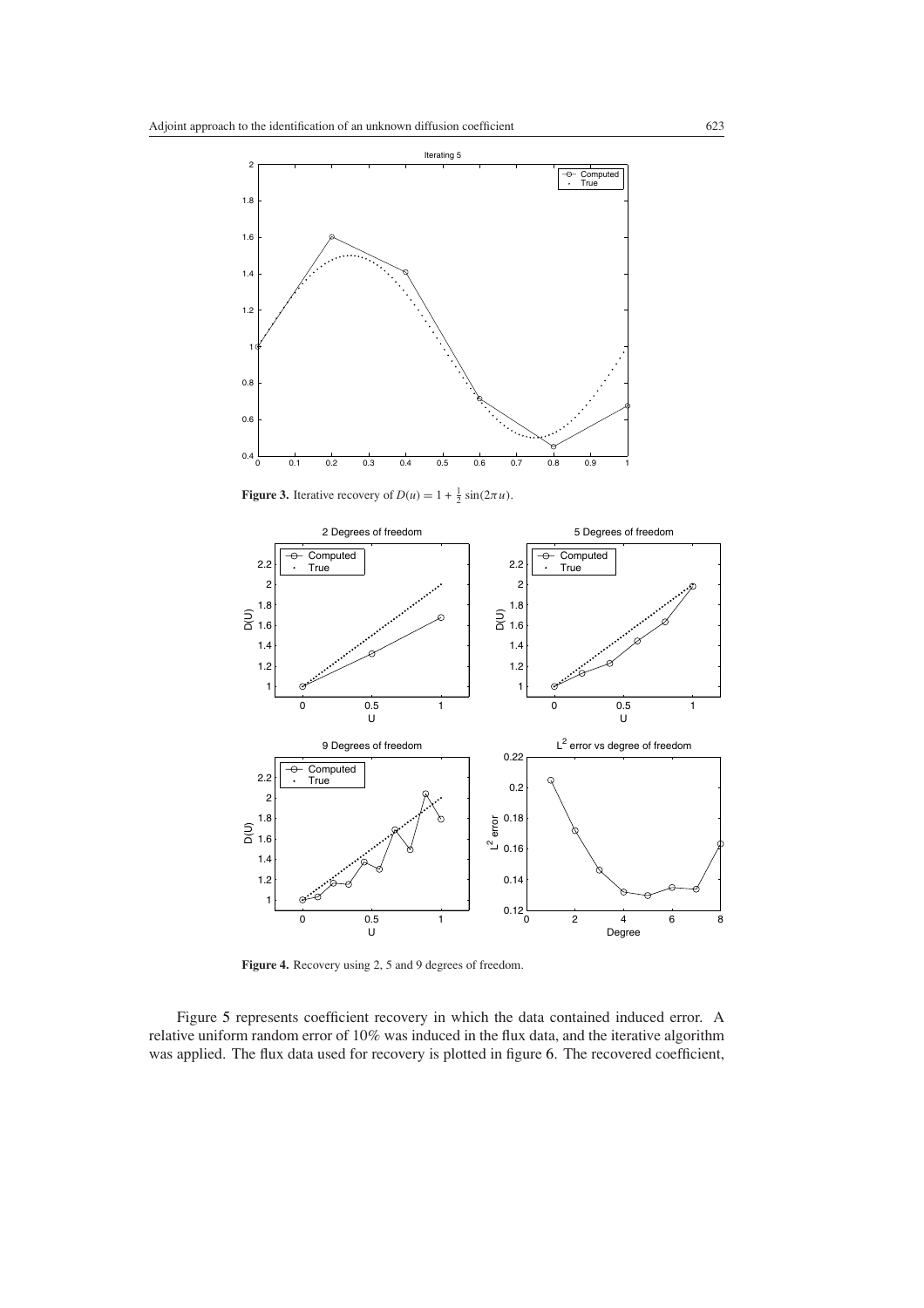

**Figure 3.** Iterative recovery of  $D(u) = 1 + \frac{1}{2} \sin(2\pi u)$ .

<span id="page-22-0"></span>

Figure 4. Recovery using 2, 5 and 9 degrees of freedom.

Figure [5](#page-23-0) represents coefficient recovery in which the data contained induced error. A relative uniform random error of 10% was induced in the flux data, and the iterative algorithm was applied. The flux data used for recovery is plotted in figure [6.](#page-23-1) The recovered coefficient,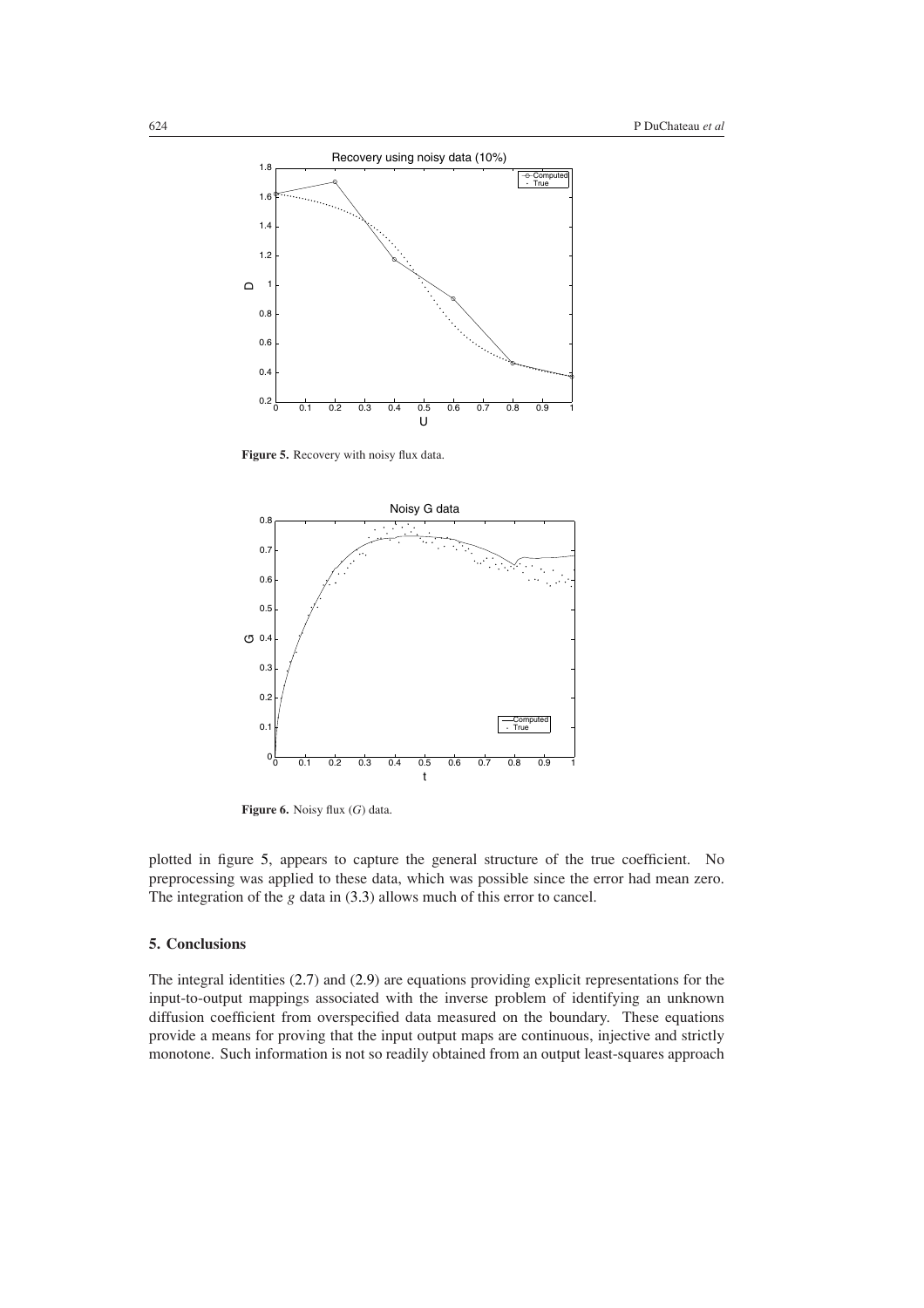

**Figure 5.** Recovery with noisy flux data.

<span id="page-23-0"></span>

**Figure 6.** Noisy flux (*G*) data.

<span id="page-23-1"></span>plotted in figure [5,](#page-23-0) appears to capture the general structure of the true coefficient. No preprocessing was applied to these data, which was possible since the error had mean zero. The integration of the *g* data in [\(3.3\)](#page-9-0) allows much of this error to cancel.

# **5. Conclusions**

The integral identities [\(2.7\)](#page-5-2) and [\(2.9\)](#page-6-0) are equations providing explicit representations for the input-to-output mappings associated with the inverse problem of identifying an unknown diffusion coefficient from overspecified data measured on the boundary. These equations provide a means for proving that the input output maps are continuous, injective and strictly monotone. Such information is not so readily obtained from an output least-squares approach